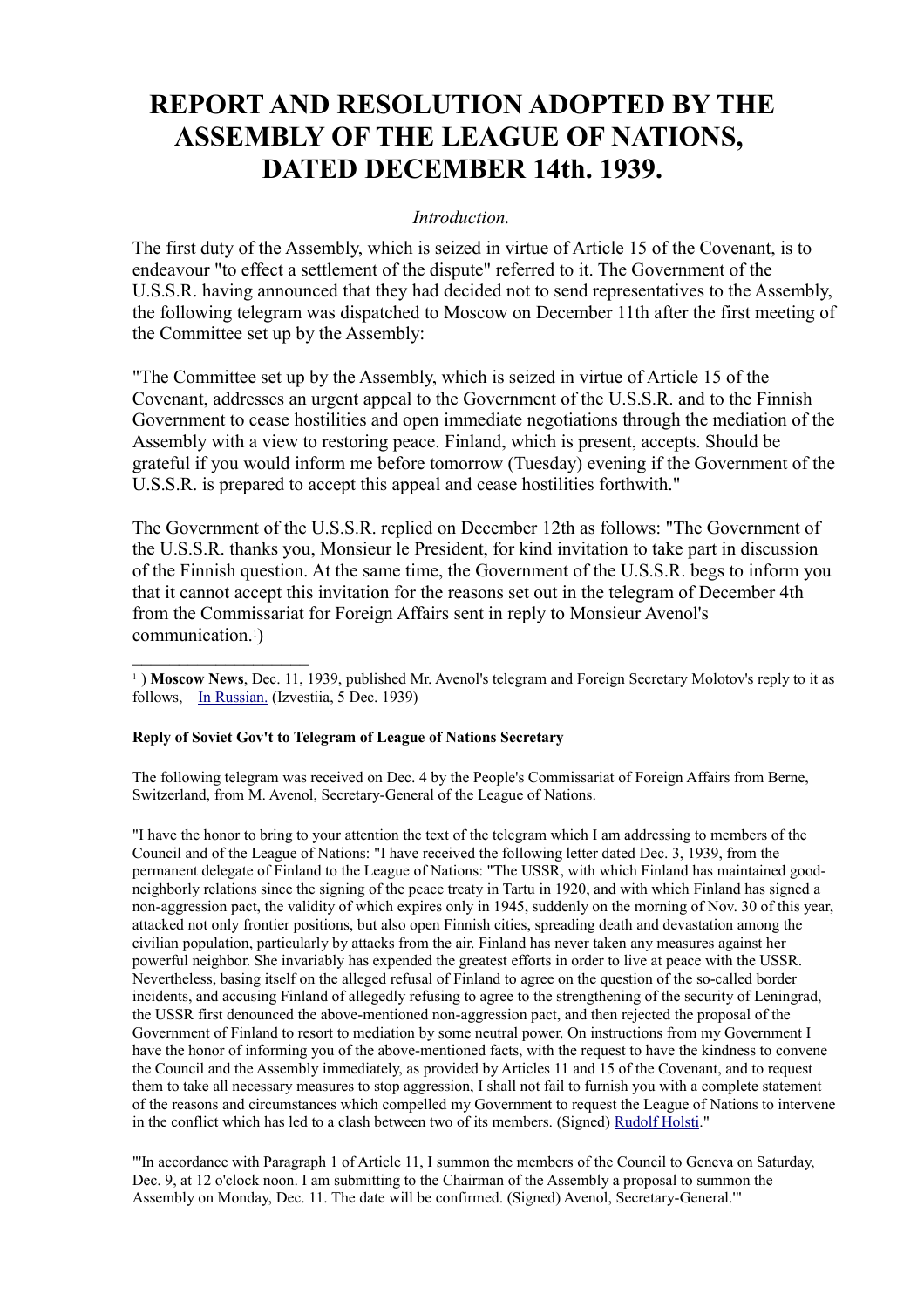# **REPORT AND RESOLUTION ADOPTED BY THE ASSEMBLY OF THE LEAGUE OF NATIONS, DATED DECEMBER 14th. 1939.**

#### *Introduction.*

The first duty of the Assembly, which is seized in virtue of Article 15 of the Covenant, is to endeavour "to effect a settlement of the dispute" referred to it. The Government of the U.S.S.R. having announced that they had decided not to send representatives to the Assembly, the following telegram was dispatched to Moscow on December 11th after the first meeting of the Committee set up by the Assembly:

"The Committee set up by the Assembly, which is seized in virtue of Article 15 of the Covenant, addresses an urgent appeal to the Government of the U.S.S.R. and to the Finnish Government to cease hostilities and open immediate negotiations through the mediation of the Assembly with a view to restoring peace. Finland, which is present, accepts. Should be grateful if you would inform me before tomorrow (Tuesday) evening if the Government of the U.S.S.R. is prepared to accept this appeal and cease hostilities forthwith."

The Government of the U.S.S.R. replied on December 12th as follows: "The Government of the U.S.S.R. thanks you, Monsieur le President, for kind invitation to take part in discussion of the Finnish question. At the same time, the Government of the U.S.S.R. begs to inform you that it cannot accept this invitation for the reasons set out in the telegram of December 4th from the Commissariat for Foreign Affairs sent in reply to Monsieur Avenol's communication.1)

<sup>1</sup>) Moscow News, Dec. 11, 1939, published Mr. Avenol's telegram and Foreign Secretary Molotov's reply to it as follows, [In Russian.](file:///Y:/Omia/Kotisivu%20current/history/ru/1939-12-04.htm) (Izvestiia, 5 Dec. 1939)

#### **Reply of Soviet Gov't to Telegram of League of Nations Secretary**

The following telegram was received on Dec. 4 by the People's Commissariat of Foreign Affairs from Berne, Switzerland, from M. Avenol, Secretary-General of the League of Nations.

"I have the honor to bring to your attention the text of the telegram which I am addressing to members of the Council and of the League of Nations: "I have received the following letter dated Dec. 3, 1939, from the permanent delegate of Finland to the League of Nations: "The USSR, with which Finland has maintained goodneighborly relations since the signing of the peace treaty in Tartu in 1920, and with which Finland has signed a non-aggression pact, the validity of which expires only in 1945, suddenly on the morning of Nov. 30 of this year, attacked not only frontier positions, but also open Finnish cities, spreading death and devastation among the civilian population, particularly by attacks from the air. Finland has never taken any measures against her powerful neighbor. She invariably has expended the greatest efforts in order to live at peace with the USSR. Nevertheless, basing itself on the alleged refusal of Finland to agree on the question of the so-called border incidents, and accusing Finland of allegedly refusing to agree to the strengthening of the security of Leningrad, the USSR first denounced the above-mentioned non-aggression pact, and then rejected the proposal of the Government of Finland to resort to mediation by some neutral power. On instructions from my Government I have the honor of informing you of the above-mentioned facts, with the request to have the kindness to convene the Council and the Assembly immediately, as provided by Articles 11 and 15 of the Covenant, and to request them to take all necessary measures to stop aggression, I shall not fail to furnish you with a complete statement of the reasons and circumstances which compelled my Government to request the League of Nations to intervene in the conflict which has led to a clash between two of its members. (Signed) [Rudolf Holsti.](http://www.indiana.edu/~librcsd/nt/db.cgi?db=ig&do=search_results&details=2&ID=889&ID-opt==)"

"'In accordance with Paragraph 1 of Article 11, I summon the members of the Council to Geneva on Saturday, Dec. 9, at 12 o'clock noon. I am submitting to the Chairman of the Assembly a proposal to summon the Assembly on Monday, Dec. 11. The date will be confirmed. (Signed) Avenol, Secretary-General.'"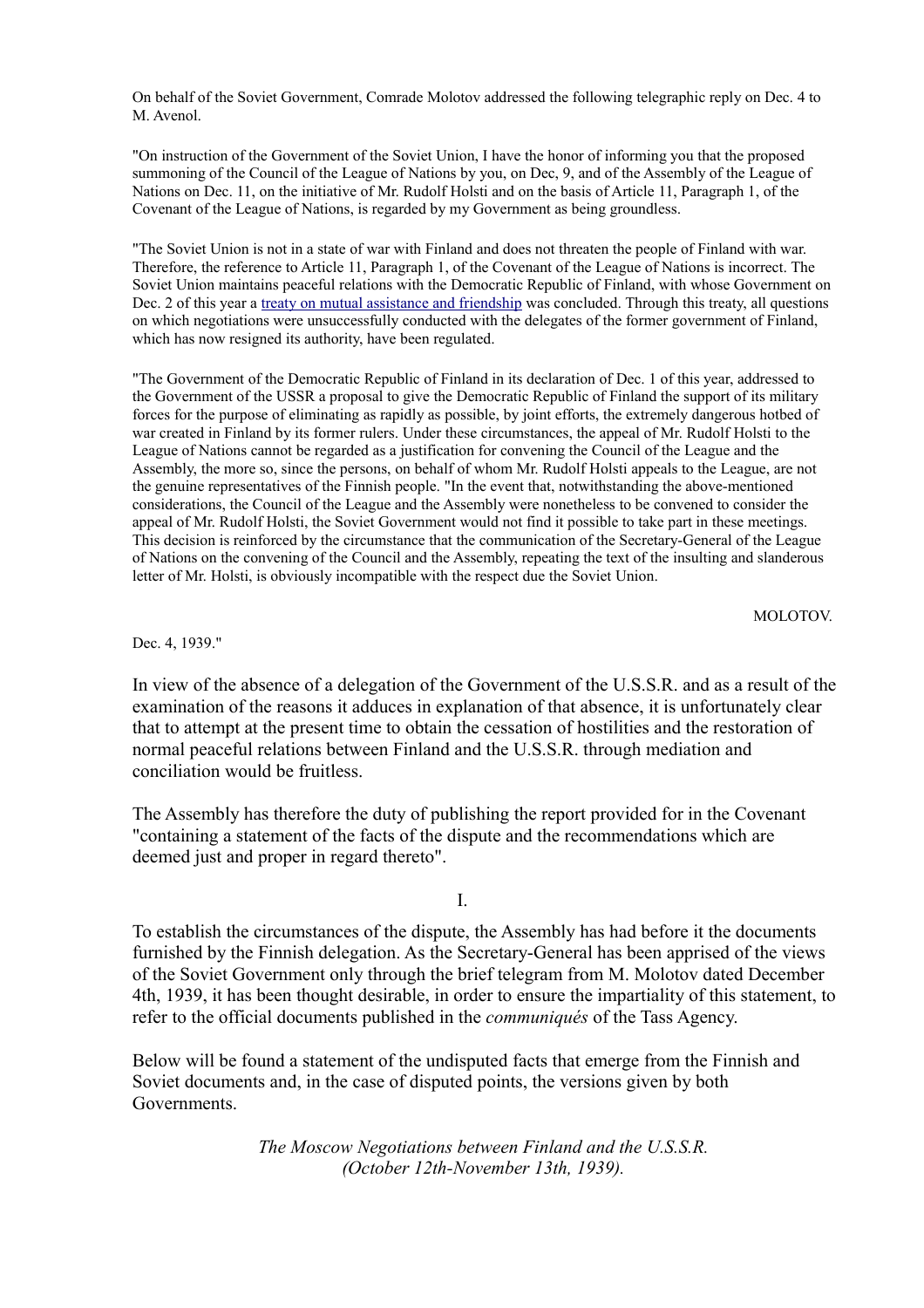On behalf of the Soviet Government, Comrade Molotov addressed the following telegraphic reply on Dec. 4 to M. Avenol.

"On instruction of the Government of the Soviet Union, I have the honor of informing you that the proposed summoning of the Council of the League of Nations by you, on Dec, 9, and of the Assembly of the League of Nations on Dec. 11, on the initiative of Mr. Rudolf Holsti and on the basis of Article 11, Paragraph 1, of the Covenant of the League of Nations, is regarded by my Government as being groundless.

"The Soviet Union is not in a state of war with Finland and does not threaten the people of Finland with war. Therefore, the reference to Article 11, Paragraph 1, of the Covenant of the League of Nations is incorrect. The Soviet Union maintains peaceful relations with the Democratic Republic of Finland, with whose Government on Dec. 2 of this year a [treaty on mutual assistance and friendship](http://heninen.net/sopimus/1939_e.htm) was concluded. Through this treaty, all questions on which negotiations were unsuccessfully conducted with the delegates of the former government of Finland, which has now resigned its authority, have been regulated.

"The Government of the Democratic Republic of Finland in its declaration of Dec. 1 of this year, addressed to the Government of the USSR a proposal to give the Democratic Republic of Finland the support of its military forces for the purpose of eliminating as rapidly as possible, by joint efforts, the extremely dangerous hotbed of war created in Finland by its former rulers. Under these circumstances, the appeal of Mr. Rudolf Holsti to the League of Nations cannot be regarded as a justification for convening the Council of the League and the Assembly, the more so, since the persons, on behalf of whom Mr. Rudolf Holsti appeals to the League, are not the genuine representatives of the Finnish people. "In the event that, notwithstanding the above-mentioned considerations, the Council of the League and the Assembly were nonetheless to be convened to consider the appeal of Mr. Rudolf Holsti, the Soviet Government would not find it possible to take part in these meetings. This decision is reinforced by the circumstance that the communication of the Secretary-General of the League of Nations on the convening of the Council and the Assembly, repeating the text of the insulting and slanderous letter of Mr. Holsti, is obviously incompatible with the respect due the Soviet Union.

MOLOTOV.

Dec. 4, 1939."

In view of the absence of a delegation of the Government of the U.S.S.R. and as a result of the examination of the reasons it adduces in explanation of that absence, it is unfortunately clear that to attempt at the present time to obtain the cessation of hostilities and the restoration of normal peaceful relations between Finland and the U.S.S.R. through mediation and conciliation would be fruitless.

The Assembly has therefore the duty of publishing the report provided for in the Covenant "containing a statement of the facts of the dispute and the recommendations which are deemed just and proper in regard thereto".

I.

To establish the circumstances of the dispute, the Assembly has had before it the documents furnished by the Finnish delegation. As the Secretary-General has been apprised of the views of the Soviet Government only through the brief telegram from M. Molotov dated December 4th, 1939, it has been thought desirable, in order to ensure the impartiality of this statement, to refer to the official documents published in the *communiqués* of the Tass Agency.

Below will be found a statement of the undisputed facts that emerge from the Finnish and Soviet documents and, in the case of disputed points, the versions given by both Governments.

> *The Moscow Negotiations between Finland and the U.S.S.R. (October 12th-November 13th, 1939).*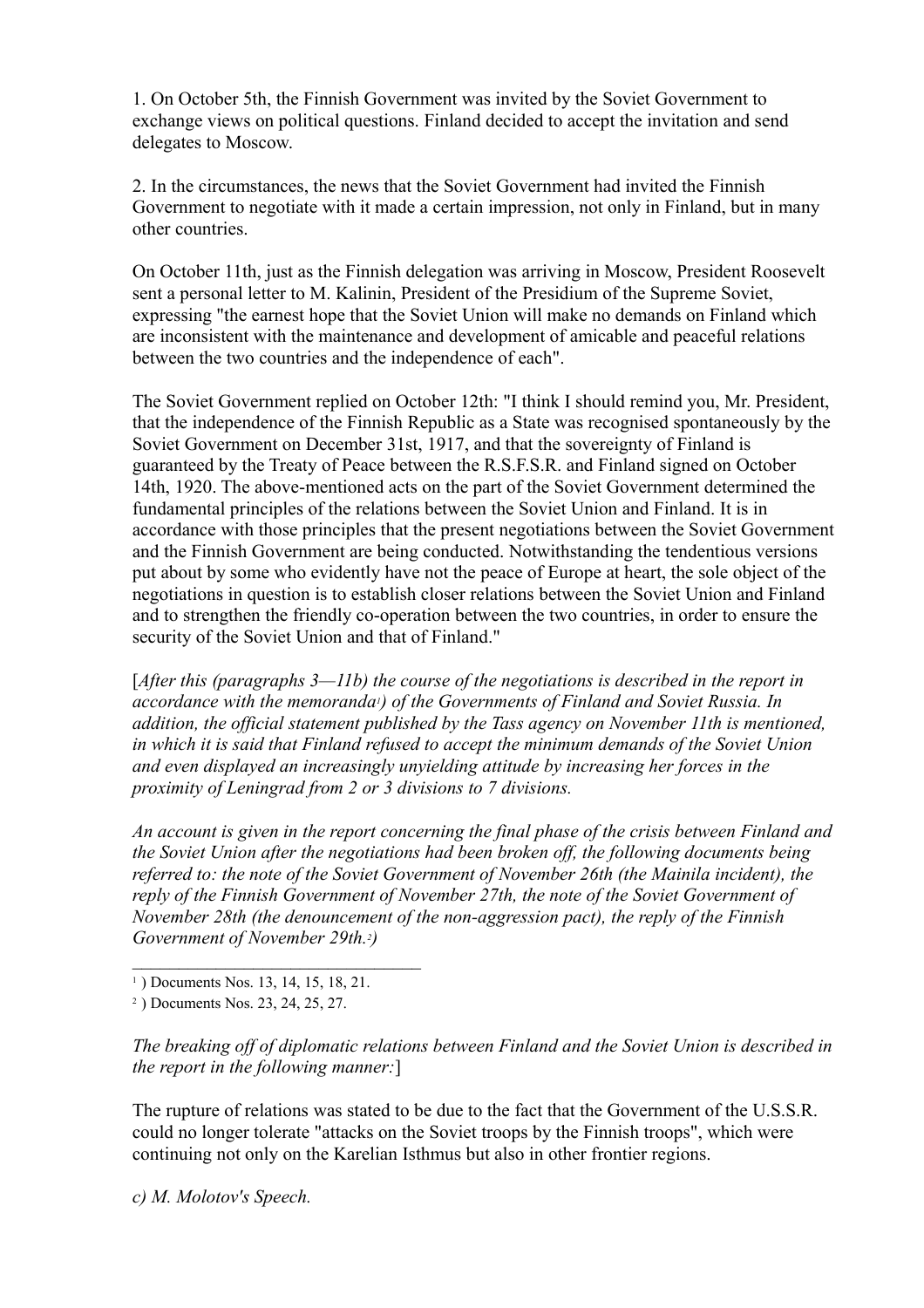1. On October 5th, the Finnish Government was invited by the Soviet Government to exchange views on political questions. Finland decided to accept the invitation and send delegates to Moscow.

2. In the circumstances, the news that the Soviet Government had invited the Finnish Government to negotiate with it made a certain impression, not only in Finland, but in many other countries.

On October 11th, just as the Finnish delegation was arriving in Moscow, President Roosevelt sent a personal letter to M. Kalinin, President of the Presidium of the Supreme Soviet, expressing "the earnest hope that the Soviet Union will make no demands on Finland which are inconsistent with the maintenance and development of amicable and peaceful relations between the two countries and the independence of each".

The Soviet Government replied on October 12th: "I think I should remind you, Mr. President, that the independence of the Finnish Republic as a State was recognised spontaneously by the Soviet Government on December 31st, 1917, and that the sovereignty of Finland is guaranteed by the Treaty of Peace between the R.S.F.S.R. and Finland signed on October 14th, 1920. The above-mentioned acts on the part of the Soviet Government determined the fundamental principles of the relations between the Soviet Union and Finland. It is in accordance with those principles that the present negotiations between the Soviet Government and the Finnish Government are being conducted. Notwithstanding the tendentious versions put about by some who evidently have not the peace of Europe at heart, the sole object of the negotiations in question is to establish closer relations between the Soviet Union and Finland and to strengthen the friendly co-operation between the two countries, in order to ensure the security of the Soviet Union and that of Finland."

[*After this (paragraphs 3—11b) the course of the negotiations is described in the report in accordance with the memoranda1) of the Governments of Finland and Soviet Russia. In addition, the official statement published by the Tass agency on November 11th is mentioned, in which it is said that Finland refused to accept the minimum demands of the Soviet Union and even displayed an increasingly unyielding attitude by increasing her forces in the proximity of Leningrad from 2 or 3 divisions to 7 divisions.* 

*An account is given in the report concerning the final phase of the crisis between Finland and the Soviet Union after the negotiations had been broken off, the following documents being referred to: the note of the Soviet Government of November 26th (the Mainila incident), the reply of the Finnish Government of November 27th, the note of the Soviet Government of November 28th (the denouncement of the non-aggression pact), the reply of the Finnish Government of November 29th.2)*

*The breaking off of diplomatic relations between Finland and the Soviet Union is described in the report in the following manner:*]

The rupture of relations was stated to be due to the fact that the Government of the U.S.S.R. could no longer tolerate "attacks on the Soviet troops by the Finnish troops", which were continuing not only on the Karelian Isthmus but also in other frontier regions.

*c) M. Molotov's Speech.*

<sup>&</sup>lt;sup>1</sup>) Documents Nos. 13, 14, 15, 18, 21.

<sup>2</sup> ) Documents Nos. 23, 24, 25, 27.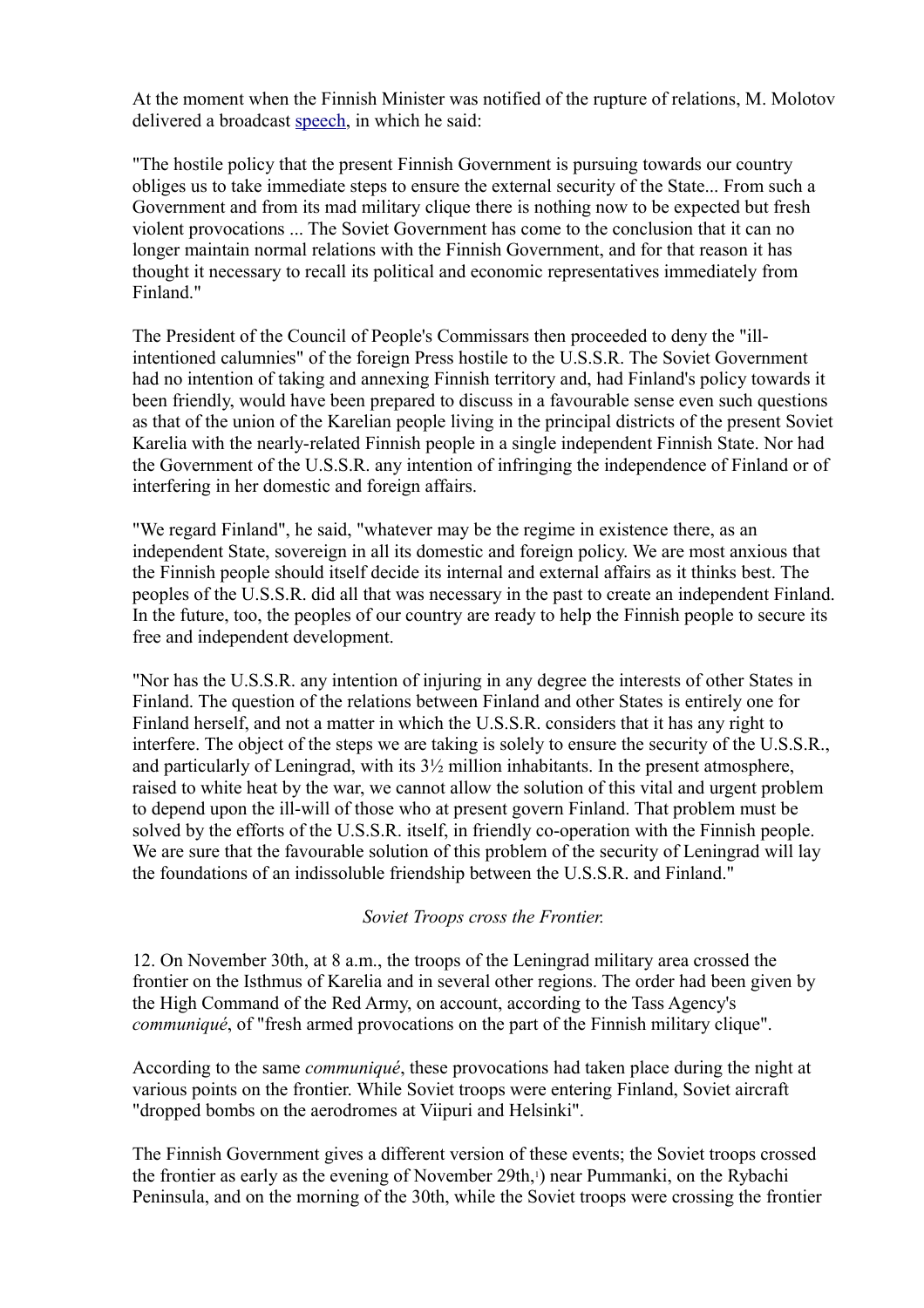At the moment when the Finnish Minister was notified of the rupture of relations, M. Molotov delivered a broadcast [speech,](file:///Y:/Omia/Kotisivu%20current/history/molotov_radio_29111939.html) in which he said:

"The hostile policy that the present Finnish Government is pursuing towards our country obliges us to take immediate steps to ensure the external security of the State... From such a Government and from its mad military clique there is nothing now to be expected but fresh violent provocations ... The Soviet Government has come to the conclusion that it can no longer maintain normal relations with the Finnish Government, and for that reason it has thought it necessary to recall its political and economic representatives immediately from Finland."

The President of the Council of People's Commissars then proceeded to deny the "illintentioned calumnies" of the foreign Press hostile to the U.S.S.R. The Soviet Government had no intention of taking and annexing Finnish territory and, had Finland's policy towards it been friendly, would have been prepared to discuss in a favourable sense even such questions as that of the union of the Karelian people living in the principal districts of the present Soviet Karelia with the nearly-related Finnish people in a single independent Finnish State. Nor had the Government of the U.S.S.R. any intention of infringing the independence of Finland or of interfering in her domestic and foreign affairs.

"We regard Finland", he said, "whatever may be the regime in existence there, as an independent State, sovereign in all its domestic and foreign policy. We are most anxious that the Finnish people should itself decide its internal and external affairs as it thinks best. The peoples of the U.S.S.R. did all that was necessary in the past to create an independent Finland. In the future, too, the peoples of our country are ready to help the Finnish people to secure its free and independent development.

"Nor has the U.S.S.R. any intention of injuring in any degree the interests of other States in Finland. The question of the relations between Finland and other States is entirely one for Finland herself, and not a matter in which the U.S.S.R. considers that it has any right to interfere. The object of the steps we are taking is solely to ensure the security of the U.S.S.R., and particularly of Leningrad, with its  $3\frac{1}{2}$  million inhabitants. In the present atmosphere, raised to white heat by the war, we cannot allow the solution of this vital and urgent problem to depend upon the ill-will of those who at present govern Finland. That problem must be solved by the efforts of the U.S.S.R. itself, in friendly co-operation with the Finnish people. We are sure that the favourable solution of this problem of the security of Leningrad will lay the foundations of an indissoluble friendship between the U.S.S.R. and Finland."

#### *Soviet Troops cross the Frontier.*

12. On November 30th, at 8 a.m., the troops of the Leningrad military area crossed the frontier on the Isthmus of Karelia and in several other regions. The order had been given by the High Command of the Red Army, on account, according to the Tass Agency's *communiqué*, of "fresh armed provocations on the part of the Finnish military clique".

According to the same *communiqué*, these provocations had taken place during the night at various points on the frontier. While Soviet troops were entering Finland, Soviet aircraft "dropped bombs on the aerodromes at Viipuri and Helsinki".

The Finnish Government gives a different version of these events; the Soviet troops crossed the frontier as early as the evening of November 29th,<sup>1</sup>) near Pummanki, on the Rybachi Peninsula, and on the morning of the 30th, while the Soviet troops were crossing the frontier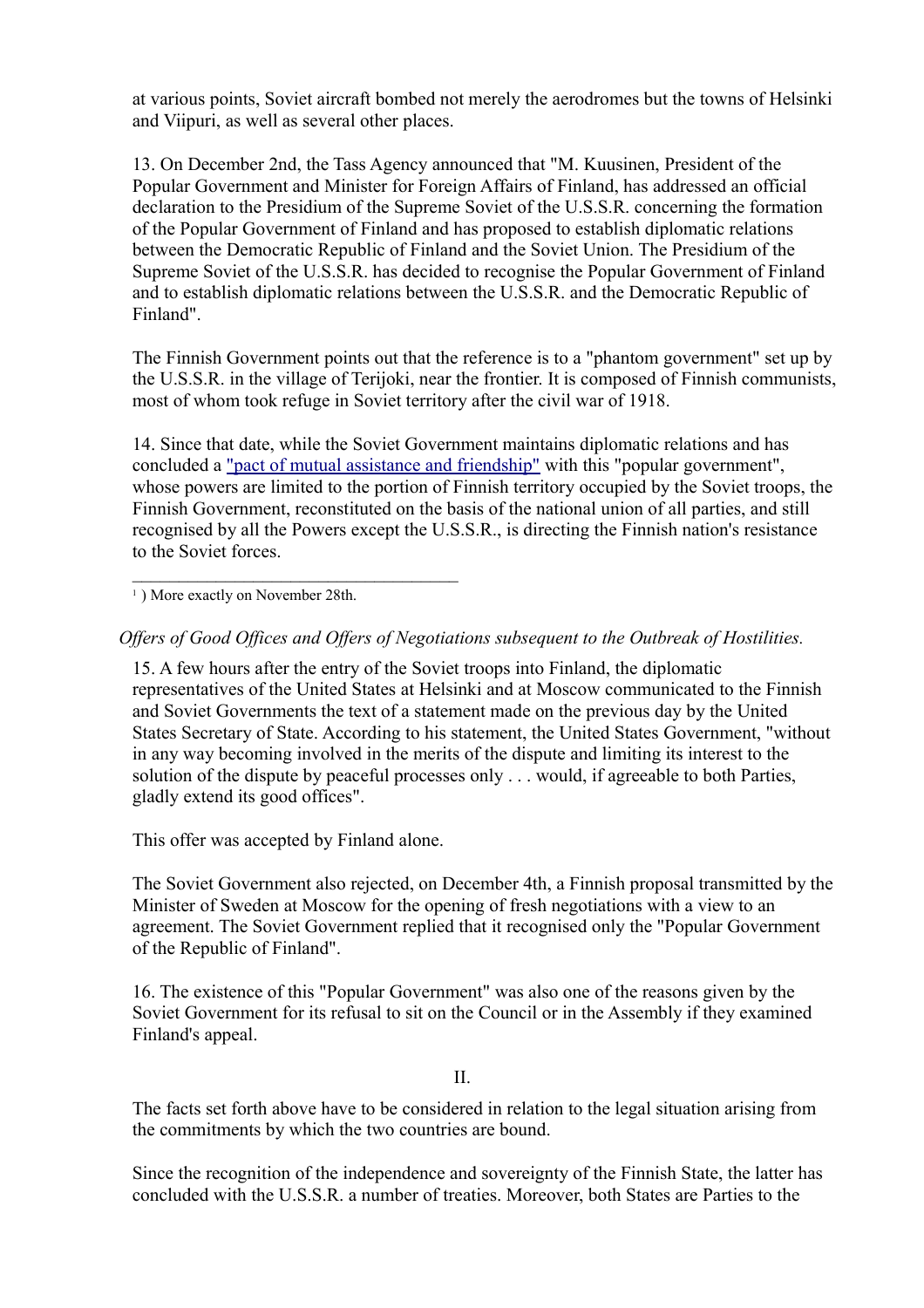at various points, Soviet aircraft bombed not merely the aerodromes but the towns of Helsinki and Viipuri, as well as several other places.

13. On December 2nd, the Tass Agency announced that "M. Kuusinen, President of the Popular Government and Minister for Foreign Affairs of Finland, has addressed an official declaration to the Presidium of the Supreme Soviet of the U.S.S.R. concerning the formation of the Popular Government of Finland and has proposed to establish diplomatic relations between the Democratic Republic of Finland and the Soviet Union. The Presidium of the Supreme Soviet of the U.S.S.R. has decided to recognise the Popular Government of Finland and to establish diplomatic relations between the U.S.S.R. and the Democratic Republic of Finland".

The Finnish Government points out that the reference is to a "phantom government" set up by the U.S.S.R. in the village of Terijoki, near the frontier. It is composed of Finnish communists, most of whom took refuge in Soviet territory after the civil war of 1918.

14. Since that date, while the Soviet Government maintains diplomatic relations and has concluded a ["pact of mutual assistance and friendship"](http://heninen.net/sopimus/1939_e.htm) with this "popular government", whose powers are limited to the portion of Finnish territory occupied by the Soviet troops, the Finnish Government, reconstituted on the basis of the national union of all parties, and still recognised by all the Powers except the U.S.S.R., is directing the Finnish nation's resistance to the Soviet forces.

<sup>1</sup>) More exactly on November 28th.

*Offers of Good Offices and Offers of Negotiations subsequent to the Outbreak of Hostilities.*

15. A few hours after the entry of the Soviet troops into Finland, the diplomatic representatives of the United States at Helsinki and at Moscow communicated to the Finnish and Soviet Governments the text of a statement made on the previous day by the United States Secretary of State. According to his statement, the United States Government, "without in any way becoming involved in the merits of the dispute and limiting its interest to the solution of the dispute by peaceful processes only . . . would, if agreeable to both Parties, gladly extend its good offices".

This offer was accepted by Finland alone.

The Soviet Government also rejected, on December 4th, a Finnish proposal transmitted by the Minister of Sweden at Moscow for the opening of fresh negotiations with a view to an agreement. The Soviet Government replied that it recognised only the "Popular Government of the Republic of Finland".

16. The existence of this "Popular Government" was also one of the reasons given by the Soviet Government for its refusal to sit on the Council or in the Assembly if they examined Finland's appeal.

II.

The facts set forth above have to be considered in relation to the legal situation arising from the commitments by which the two countries are bound.

Since the recognition of the independence and sovereignty of the Finnish State, the latter has concluded with the U.S.S.R. a number of treaties. Moreover, both States are Parties to the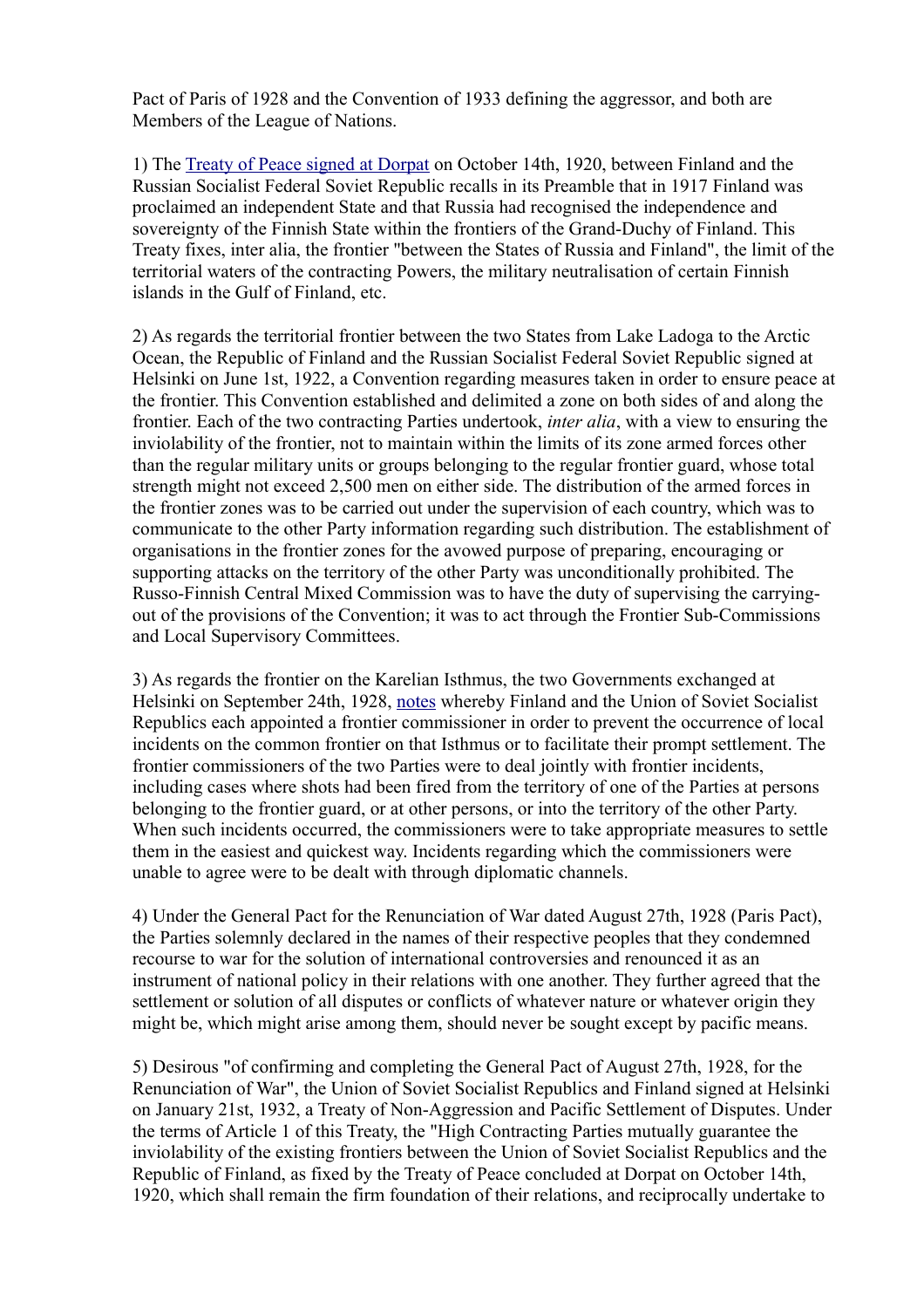Pact of Paris of 1928 and the Convention of 1933 defining the aggressor, and both are Members of the League of Nations.

1) The [Treaty of Peace signed at Dorpat](file:///Y:/Omia/Kotisivu%20current/history/dorpat1920_en.html) on October 14th, 1920, between Finland and the Russian Socialist Federal Soviet Republic recalls in its Preamble that in 1917 Finland was proclaimed an independent State and that Russia had recognised the independence and sovereignty of the Finnish State within the frontiers of the Grand-Duchy of Finland. This Treaty fixes, inter alia, the frontier "between the States of Russia and Finland", the limit of the territorial waters of the contracting Powers, the military neutralisation of certain Finnish islands in the Gulf of Finland, etc.

2) As regards the territorial frontier between the two States from Lake Ladoga to the Arctic Ocean, the Republic of Finland and the Russian Socialist Federal Soviet Republic signed at Helsinki on June 1st, 1922, a Convention regarding measures taken in order to ensure peace at the frontier. This Convention established and delimited a zone on both sides of and along the frontier. Each of the two contracting Parties undertook, *inter alia*, with a view to ensuring the inviolability of the frontier, not to maintain within the limits of its zone armed forces other than the regular military units or groups belonging to the regular frontier guard, whose total strength might not exceed 2,500 men on either side. The distribution of the armed forces in the frontier zones was to be carried out under the supervision of each country, which was to communicate to the other Party information regarding such distribution. The establishment of organisations in the frontier zones for the avowed purpose of preparing, encouraging or supporting attacks on the territory of the other Party was unconditionally prohibited. The Russo-Finnish Central Mixed Commission was to have the duty of supervising the carryingout of the provisions of the Convention; it was to act through the Frontier Sub-Commissions and Local Supervisory Committees.

3) As regards the frontier on the Karelian Isthmus, the two Governments exchanged at Helsinki on September 24th, 1928, [notes](file:///Y:/Omia/Kotisivu%20current/history/boundary1928_en.html) whereby Finland and the Union of Soviet Socialist Republics each appointed a frontier commissioner in order to prevent the occurrence of local incidents on the common frontier on that Isthmus or to facilitate their prompt settlement. The frontier commissioners of the two Parties were to deal jointly with frontier incidents, including cases where shots had been fired from the territory of one of the Parties at persons belonging to the frontier guard, or at other persons, or into the territory of the other Party. When such incidents occurred, the commissioners were to take appropriate measures to settle them in the easiest and quickest way. Incidents regarding which the commissioners were unable to agree were to be dealt with through diplomatic channels.

4) Under the General Pact for the Renunciation of War dated August 27th, 1928 (Paris Pact), the Parties solemnly declared in the names of their respective peoples that they condemned recourse to war for the solution of international controversies and renounced it as an instrument of national policy in their relations with one another. They further agreed that the settlement or solution of all disputes or conflicts of whatever nature or whatever origin they might be, which might arise among them, should never be sought except by pacific means.

5) Desirous "of confirming and completing the General Pact of August 27th, 1928, for the Renunciation of War", the Union of Soviet Socialist Republics and Finland signed at Helsinki on January 21st, 1932, a Treaty of Non-Aggression and Pacific Settlement of Disputes. Under the terms of Article 1 of this Treaty, the "High Contracting Parties mutually guarantee the inviolability of the existing frontiers between the Union of Soviet Socialist Republics and the Republic of Finland, as fixed by the Treaty of Peace concluded at Dorpat on October 14th, 1920, which shall remain the firm foundation of their relations, and reciprocally undertake to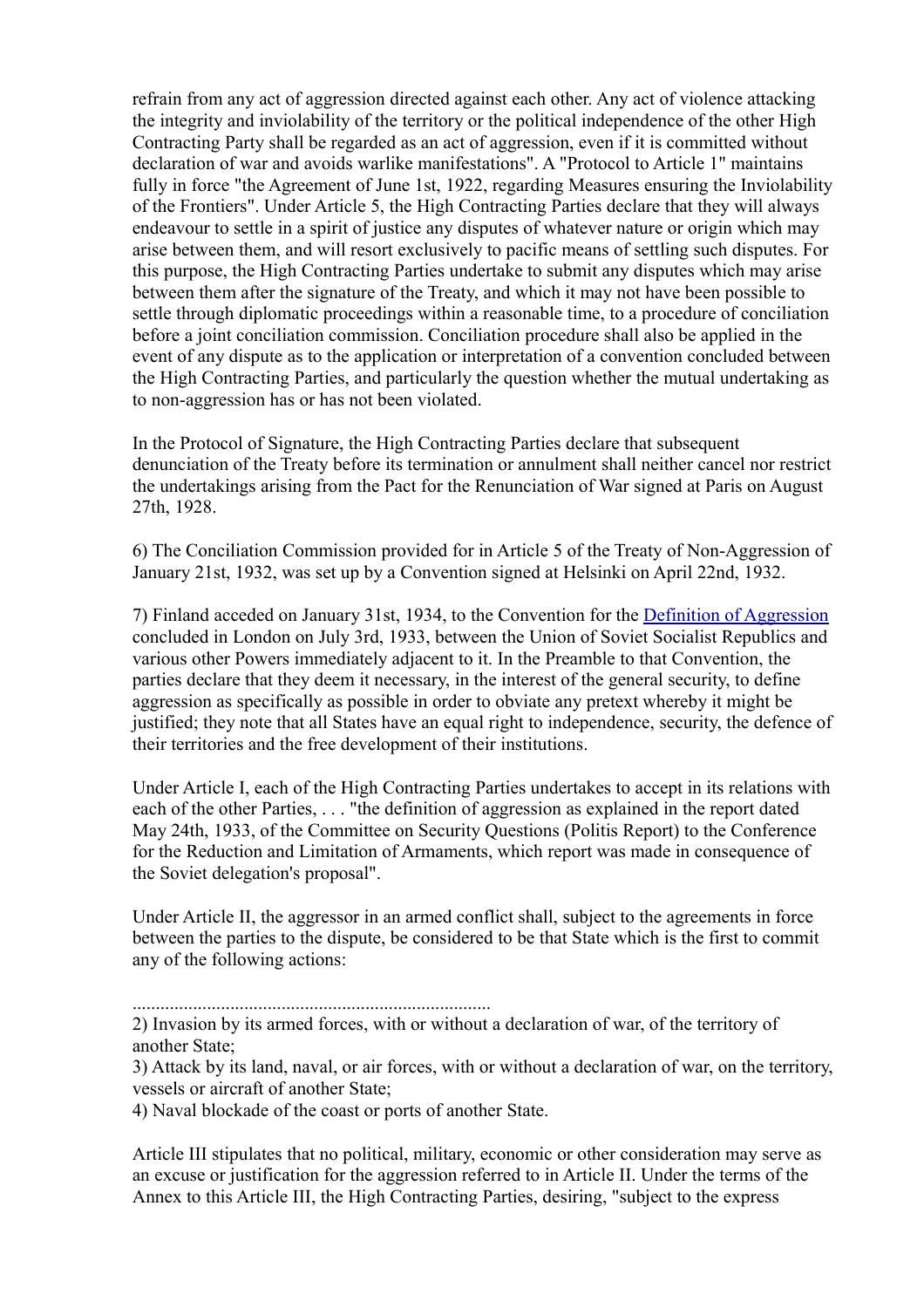refrain from any act of aggression directed against each other. Any act of violence attacking the integrity and inviolability of the territory or the political independence of the other High Contracting Party shall be regarded as an act of aggression, even if it is committed without declaration of war and avoids warlike manifestations". A "Protocol to Article 1" maintains fully in force "the Agreement of June 1st, 1922, regarding Measures ensuring the Inviolability of the Frontiers". Under Article 5, the High Contracting Parties declare that they will always endeavour to settle in a spirit of justice any disputes of whatever nature or origin which may arise between them, and will resort exclusively to pacific means of settling such disputes. For this purpose, the High Contracting Parties undertake to submit any disputes which may arise between them after the signature of the Treaty, and which it may not have been possible to settle through diplomatic proceedings within a reasonable time, to a procedure of conciliation before a joint conciliation commission. Conciliation procedure shall also be applied in the event of any dispute as to the application or interpretation of a convention concluded between the High Contracting Parties, and particularly the question whether the mutual undertaking as to non-aggression has or has not been violated.

In the Protocol of Signature, the High Contracting Parties declare that subsequent denunciation of the Treaty before its termination or annulment shall neither cancel nor restrict the undertakings arising from the Pact for the Renunciation of War signed at Paris on August 27th, 1928.

6) The Conciliation Commission provided for in Article 5 of the Treaty of Non-Aggression of January 21st, 1932, was set up by a Convention signed at Helsinki on April 22nd, 1932.

7) Finland acceded on January 31st, 1934, to the Convention for the [Definition of Aggression](http://www.letton.ch/lvx_33sdn.htm) concluded in London on July 3rd, 1933, between the Union of Soviet Socialist Republics and various other Powers immediately adjacent to it. In the Preamble to that Convention, the parties declare that they deem it necessary, in the interest of the general security, to define aggression as specifically as possible in order to obviate any pretext whereby it might be justified; they note that all States have an equal right to independence, security, the defence of their territories and the free development of their institutions.

Under Article I, each of the High Contracting Parties undertakes to accept in its relations with each of the other Parties, . . . "the definition of aggression as explained in the report dated May 24th, 1933, of the Committee on Security Questions (Politis Report) to the Conference for the Reduction and Limitation of Armaments, which report was made in consequence of the Soviet delegation's proposal".

Under Article II, the aggressor in an armed conflict shall, subject to the agreements in force between the parties to the dispute, be considered to be that State which is the first to commit any of the following actions:

.............................................................................

4) Naval blockade of the coast or ports of another State.

Article III stipulates that no political, military, economic or other consideration may serve as an excuse or justification for the aggression referred to in Article II. Under the terms of the Annex to this Article III, the High Contracting Parties, desiring, "subject to the express

<sup>2)</sup> Invasion by its armed forces, with or without a declaration of war, of the territory of another State;

<sup>3)</sup> Attack by its land, naval, or air forces, with or without a declaration of war, on the territory, vessels or aircraft of another State;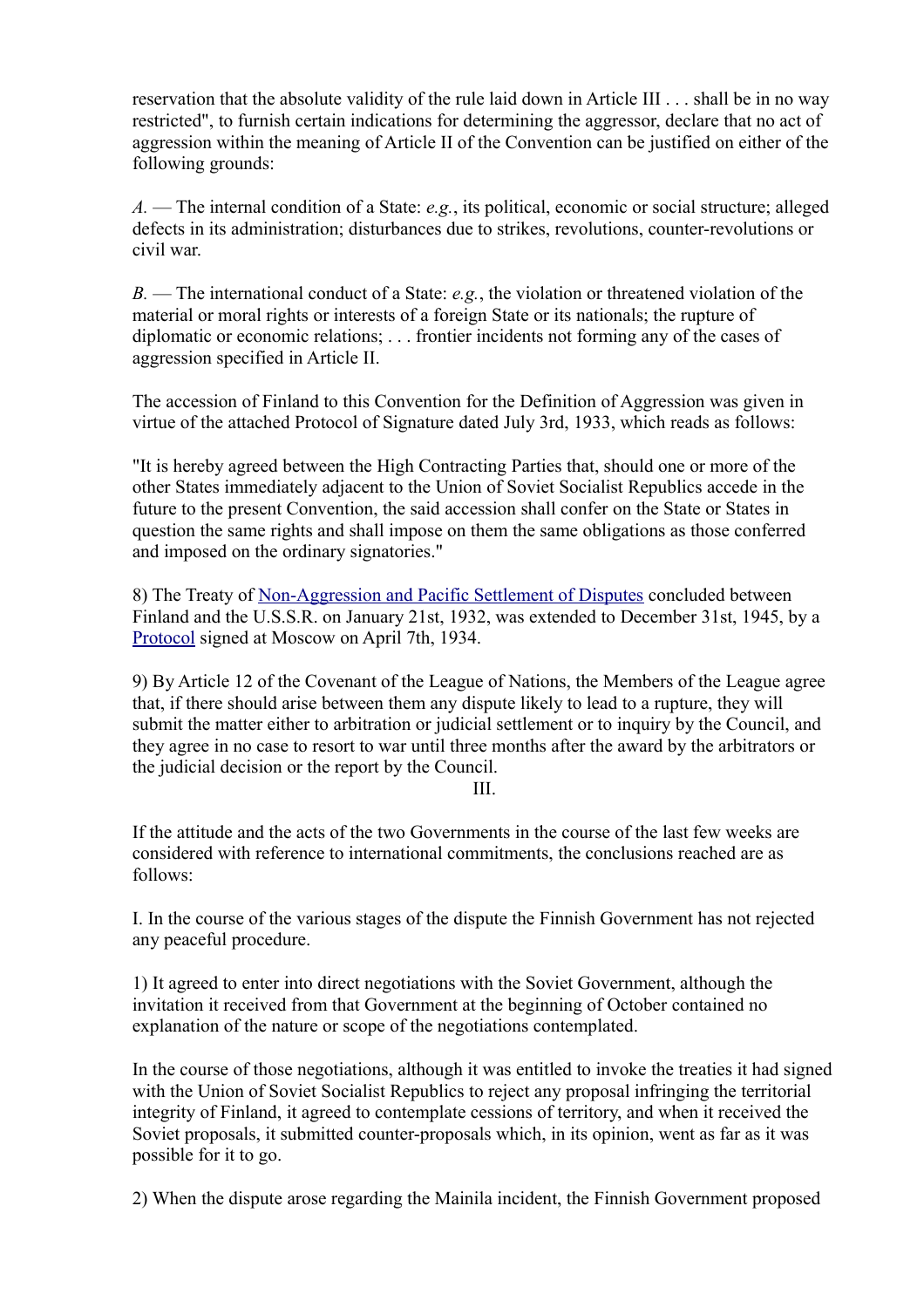reservation that the absolute validity of the rule laid down in Article III . . . shall be in no way restricted", to furnish certain indications for determining the aggressor, declare that no act of aggression within the meaning of Article II of the Convention can be justified on either of the following grounds:

*A.* — The internal condition of a State: *e.g.*, its political, economic or social structure; alleged defects in its administration; disturbances due to strikes, revolutions, counter-revolutions or civil war.

*B.* — The international conduct of a State: *e.g.*, the violation or threatened violation of the material or moral rights or interests of a foreign State or its nationals; the rupture of diplomatic or economic relations; . . . frontier incidents not forming any of the cases of aggression specified in Article II.

The accession of Finland to this Convention for the Definition of Aggression was given in virtue of the attached Protocol of Signature dated July 3rd, 1933, which reads as follows:

"It is hereby agreed between the High Contracting Parties that, should one or more of the other States immediately adjacent to the Union of Soviet Socialist Republics accede in the future to the present Convention, the said accession shall confer on the State or States in question the same rights and shall impose on them the same obligations as those conferred and imposed on the ordinary signatories."

8) The Treaty of [Non-Aggression and Pacific Settlement of Disputes](file:///Y:/Omia/Kotisivu%20current/history/nonagen1.html) concluded between Finland and the U.S.S.R. on January 21st, 1932, was extended to December 31st, 1945, by a [Protocol](file:///Y:/Omia/Kotisivu%20current/history/nonagen2.html) signed at Moscow on April 7th, 1934.

9) By Article 12 of the Covenant of the League of Nations, the Members of the League agree that, if there should arise between them any dispute likely to lead to a rupture, they will submit the matter either to arbitration or judicial settlement or to inquiry by the Council, and they agree in no case to resort to war until three months after the award by the arbitrators or the judicial decision or the report by the Council.

III.

If the attitude and the acts of the two Governments in the course of the last few weeks are considered with reference to international commitments, the conclusions reached are as follows:

I. In the course of the various stages of the dispute the Finnish Government has not rejected any peaceful procedure.

1) It agreed to enter into direct negotiations with the Soviet Government, although the invitation it received from that Government at the beginning of October contained no explanation of the nature or scope of the negotiations contemplated.

In the course of those negotiations, although it was entitled to invoke the treaties it had signed with the Union of Soviet Socialist Republics to reject any proposal infringing the territorial integrity of Finland, it agreed to contemplate cessions of territory, and when it received the Soviet proposals, it submitted counter-proposals which, in its opinion, went as far as it was possible for it to go.

2) When the dispute arose regarding the Mainila incident, the Finnish Government proposed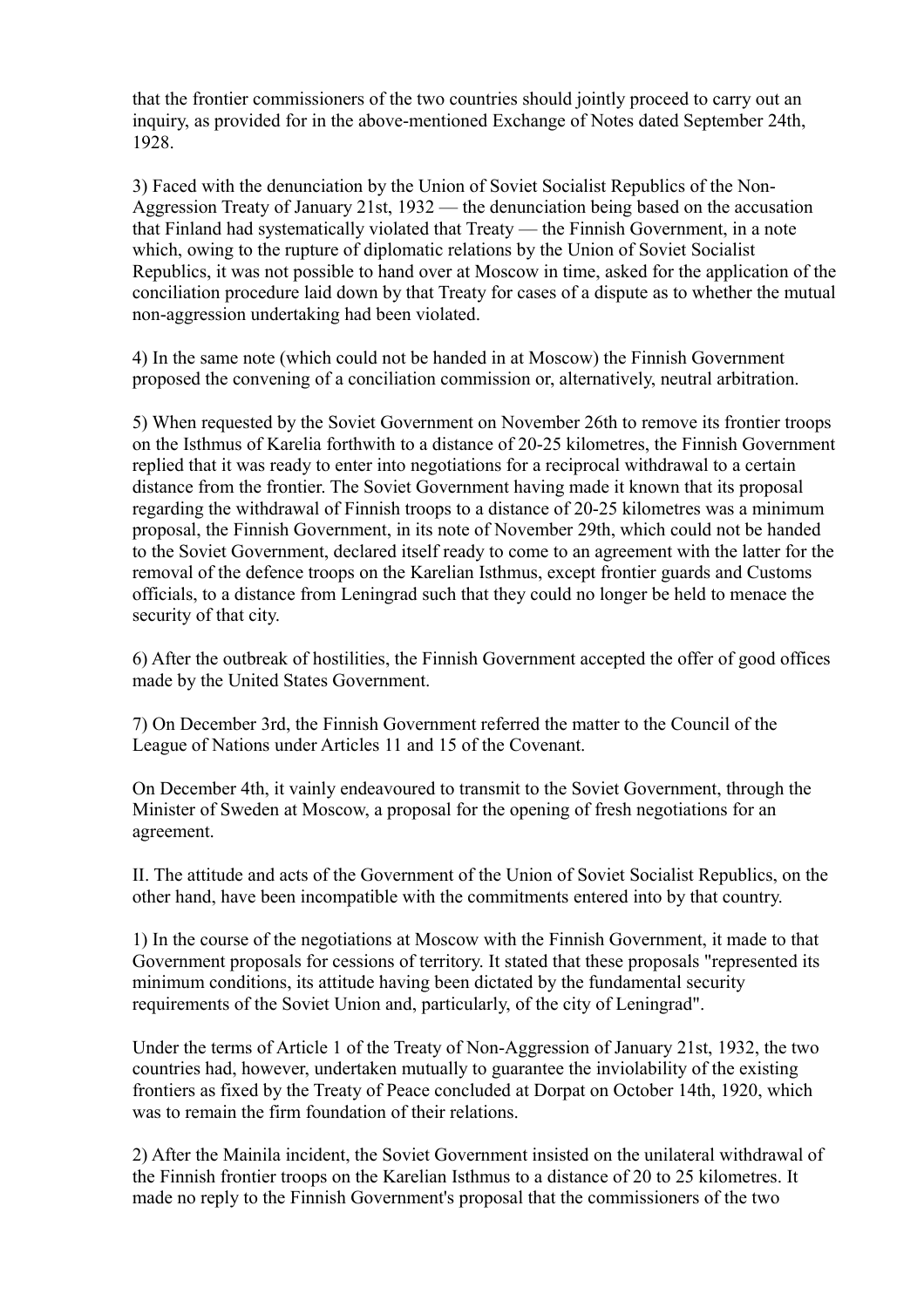that the frontier commissioners of the two countries should jointly proceed to carry out an inquiry, as provided for in the above-mentioned Exchange of Notes dated September 24th, 1928.

3) Faced with the denunciation by the Union of Soviet Socialist Republics of the Non-Aggression Treaty of January 21st, 1932 — the denunciation being based on the accusation that Finland had systematically violated that Treaty — the Finnish Government, in a note which, owing to the rupture of diplomatic relations by the Union of Soviet Socialist Republics, it was not possible to hand over at Moscow in time, asked for the application of the conciliation procedure laid down by that Treaty for cases of a dispute as to whether the mutual non-aggression undertaking had been violated.

4) In the same note (which could not be handed in at Moscow) the Finnish Government proposed the convening of a conciliation commission or, alternatively, neutral arbitration.

5) When requested by the Soviet Government on November 26th to remove its frontier troops on the Isthmus of Karelia forthwith to a distance of 20-25 kilometres, the Finnish Government replied that it was ready to enter into negotiations for a reciprocal withdrawal to a certain distance from the frontier. The Soviet Government having made it known that its proposal regarding the withdrawal of Finnish troops to a distance of 20-25 kilometres was a minimum proposal, the Finnish Government, in its note of November 29th, which could not be handed to the Soviet Government, declared itself ready to come to an agreement with the latter for the removal of the defence troops on the Karelian Isthmus, except frontier guards and Customs officials, to a distance from Leningrad such that they could no longer be held to menace the security of that city.

6) After the outbreak of hostilities, the Finnish Government accepted the offer of good offices made by the United States Government.

7) On December 3rd, the Finnish Government referred the matter to the Council of the League of Nations under Articles 11 and 15 of the Covenant.

On December 4th, it vainly endeavoured to transmit to the Soviet Government, through the Minister of Sweden at Moscow, a proposal for the opening of fresh negotiations for an agreement.

II. The attitude and acts of the Government of the Union of Soviet Socialist Republics, on the other hand, have been incompatible with the commitments entered into by that country.

1) In the course of the negotiations at Moscow with the Finnish Government, it made to that Government proposals for cessions of territory. It stated that these proposals "represented its minimum conditions, its attitude having been dictated by the fundamental security requirements of the Soviet Union and, particularly, of the city of Leningrad".

Under the terms of Article 1 of the Treaty of Non-Aggression of January 21st, 1932, the two countries had, however, undertaken mutually to guarantee the inviolability of the existing frontiers as fixed by the Treaty of Peace concluded at Dorpat on October 14th, 1920, which was to remain the firm foundation of their relations.

2) After the Mainila incident, the Soviet Government insisted on the unilateral withdrawal of the Finnish frontier troops on the Karelian Isthmus to a distance of 20 to 25 kilometres. It made no reply to the Finnish Government's proposal that the commissioners of the two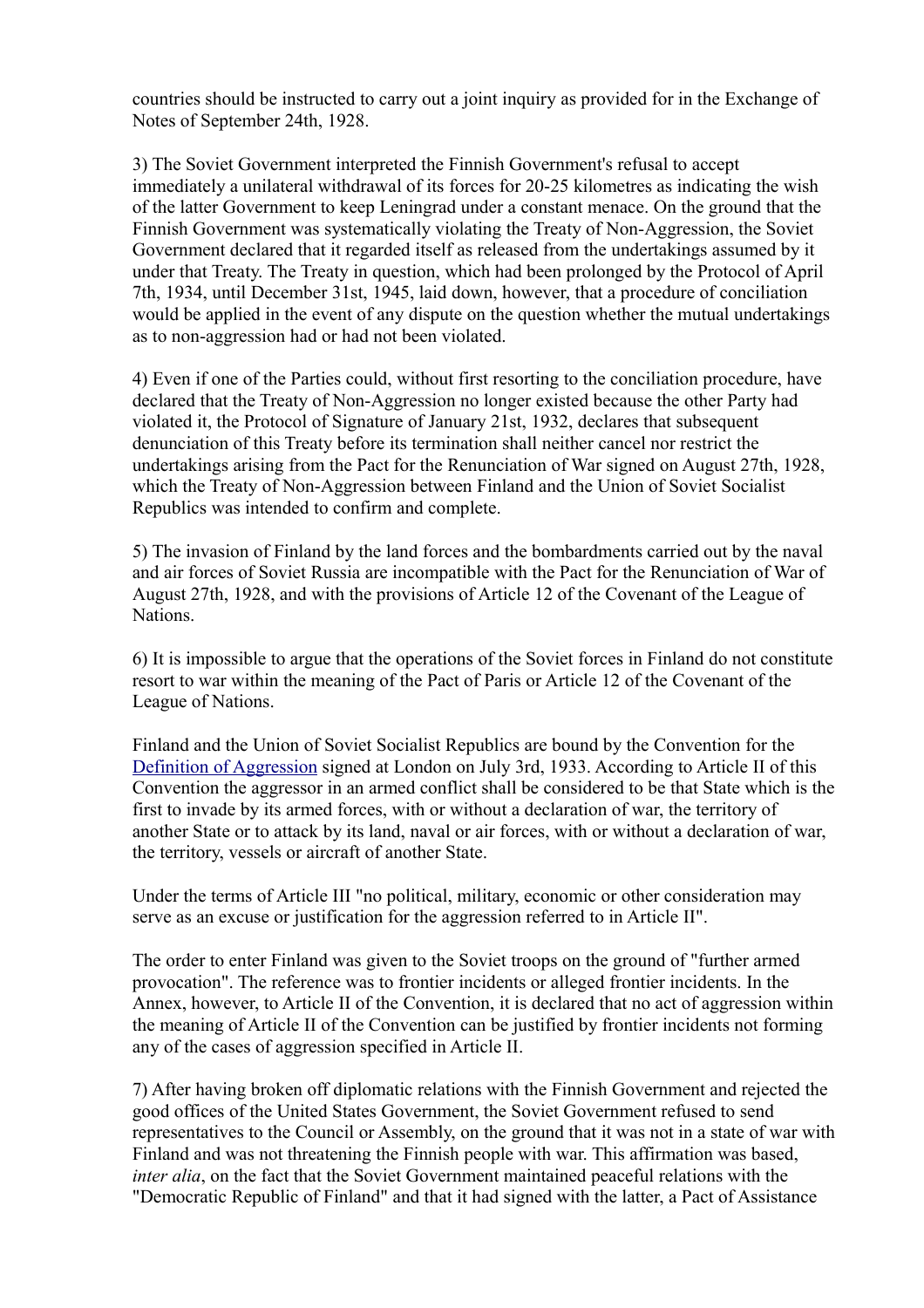countries should be instructed to carry out a joint inquiry as provided for in the Exchange of Notes of September 24th, 1928.

3) The Soviet Government interpreted the Finnish Government's refusal to accept immediately a unilateral withdrawal of its forces for 20-25 kilometres as indicating the wish of the latter Government to keep Leningrad under a constant menace. On the ground that the Finnish Government was systematically violating the Treaty of Non-Aggression, the Soviet Government declared that it regarded itself as released from the undertakings assumed by it under that Treaty. The Treaty in question, which had been prolonged by the Protocol of April 7th, 1934, until December 31st, 1945, laid down, however, that a procedure of conciliation would be applied in the event of any dispute on the question whether the mutual undertakings as to non-aggression had or had not been violated.

4) Even if one of the Parties could, without first resorting to the conciliation procedure, have declared that the Treaty of Non-Aggression no longer existed because the other Party had violated it, the Protocol of Signature of January 21st, 1932, declares that subsequent denunciation of this Treaty before its termination shall neither cancel nor restrict the undertakings arising from the Pact for the Renunciation of War signed on August 27th, 1928, which the Treaty of Non-Aggression between Finland and the Union of Soviet Socialist Republics was intended to confirm and complete.

5) The invasion of Finland by the land forces and the bombardments carried out by the naval and air forces of Soviet Russia are incompatible with the Pact for the Renunciation of War of August 27th, 1928, and with the provisions of Article 12 of the Covenant of the League of Nations.

6) It is impossible to argue that the operations of the Soviet forces in Finland do not constitute resort to war within the meaning of the Pact of Paris or Article 12 of the Covenant of the League of Nations.

Finland and the Union of Soviet Socialist Republics are bound by the Convention for the [Definition of Aggression](http://www.letton.ch/lvx_33sdn.htm) signed at London on July 3rd, 1933. According to Article II of this Convention the aggressor in an armed conflict shall be considered to be that State which is the first to invade by its armed forces, with or without a declaration of war, the territory of another State or to attack by its land, naval or air forces, with or without a declaration of war, the territory, vessels or aircraft of another State.

Under the terms of Article III "no political, military, economic or other consideration may serve as an excuse or justification for the aggression referred to in Article II".

The order to enter Finland was given to the Soviet troops on the ground of "further armed provocation". The reference was to frontier incidents or alleged frontier incidents. In the Annex, however, to Article II of the Convention, it is declared that no act of aggression within the meaning of Article II of the Convention can be justified by frontier incidents not forming any of the cases of aggression specified in Article II.

7) After having broken off diplomatic relations with the Finnish Government and rejected the good offices of the United States Government, the Soviet Government refused to send representatives to the Council or Assembly, on the ground that it was not in a state of war with Finland and was not threatening the Finnish people with war. This affirmation was based, *inter alia*, on the fact that the Soviet Government maintained peaceful relations with the "Democratic Republic of Finland" and that it had signed with the latter, a Pact of Assistance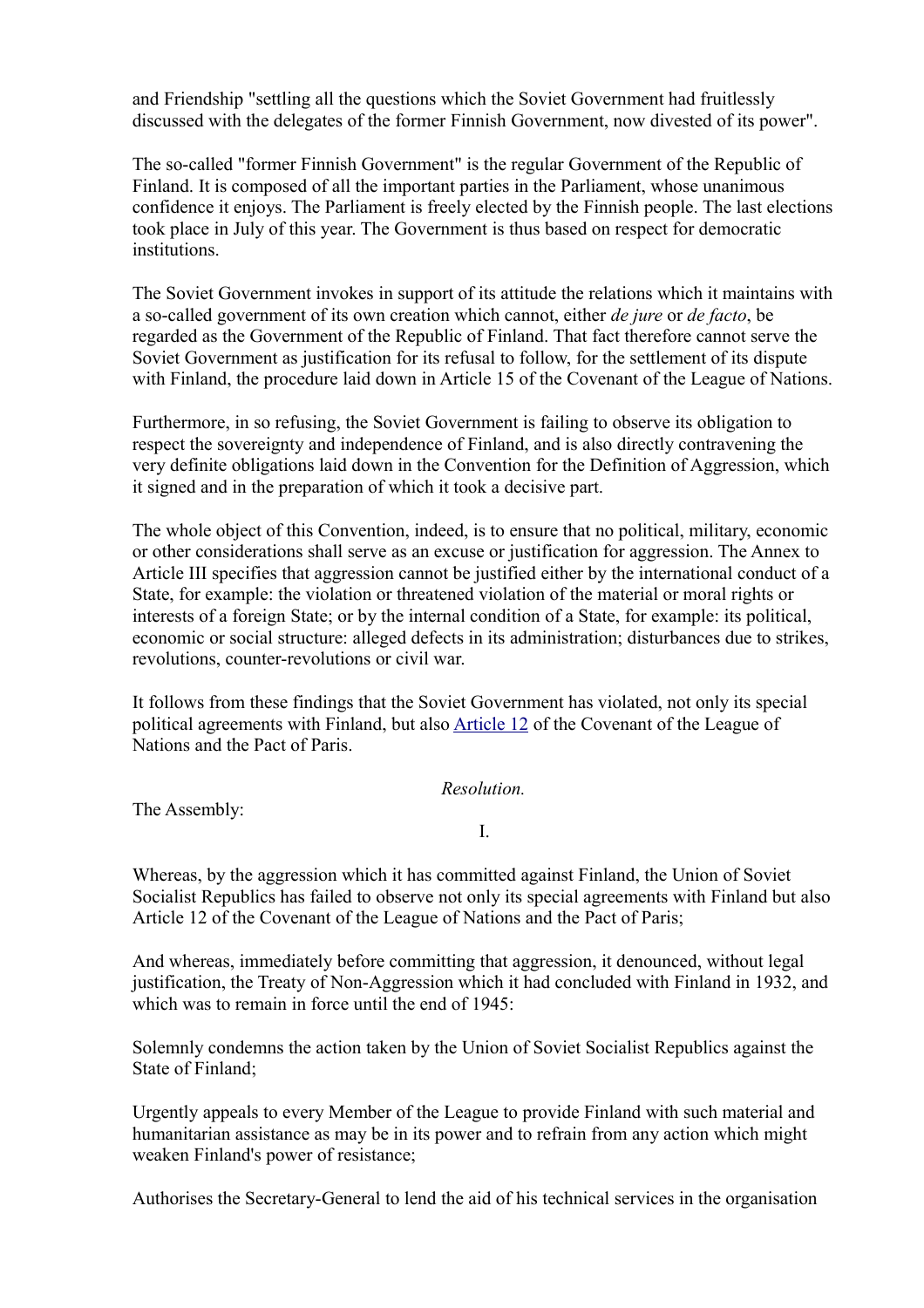and Friendship "settling all the questions which the Soviet Government had fruitlessly discussed with the delegates of the former Finnish Government, now divested of its power".

The so-called "former Finnish Government" is the regular Government of the Republic of Finland. It is composed of all the important parties in the Parliament, whose unanimous confidence it enjoys. The Parliament is freely elected by the Finnish people. The last elections took place in July of this year. The Government is thus based on respect for democratic institutions.

The Soviet Government invokes in support of its attitude the relations which it maintains with a so-called government of its own creation which cannot, either *de jure* or *de facto*, be regarded as the Government of the Republic of Finland. That fact therefore cannot serve the Soviet Government as justification for its refusal to follow, for the settlement of its dispute with Finland, the procedure laid down in Article 15 of the Covenant of the League of Nations.

Furthermore, in so refusing, the Soviet Government is failing to observe its obligation to respect the sovereignty and independence of Finland, and is also directly contravening the very definite obligations laid down in the Convention for the Definition of Aggression, which it signed and in the preparation of which it took a decisive part.

The whole object of this Convention, indeed, is to ensure that no political, military, economic or other considerations shall serve as an excuse or justification for aggression. The Annex to Article III specifies that aggression cannot be justified either by the international conduct of a State, for example: the violation or threatened violation of the material or moral rights or interests of a foreign State; or by the internal condition of a State, for example: its political, economic or social structure: alleged defects in its administration; disturbances due to strikes, revolutions, counter-revolutions or civil war.

It follows from these findings that the Soviet Government has violated, not only its special political agreements with Finland, but also [Article 12](http://www.yale.edu/lawweb/avalon/leagcov.htm#art12) of the Covenant of the League of Nations and the Pact of Paris.

#### *Resolution.*

The Assembly:

I.

Whereas, by the aggression which it has committed against Finland, the Union of Soviet Socialist Republics has failed to observe not only its special agreements with Finland but also Article 12 of the Covenant of the League of Nations and the Pact of Paris;

And whereas, immediately before committing that aggression, it denounced, without legal justification, the Treaty of Non-Aggression which it had concluded with Finland in 1932, and which was to remain in force until the end of 1945.

Solemnly condemns the action taken by the Union of Soviet Socialist Republics against the State of Finland;

Urgently appeals to every Member of the League to provide Finland with such material and humanitarian assistance as may be in its power and to refrain from any action which might weaken Finland's power of resistance;

Authorises the Secretary-General to lend the aid of his technical services in the organisation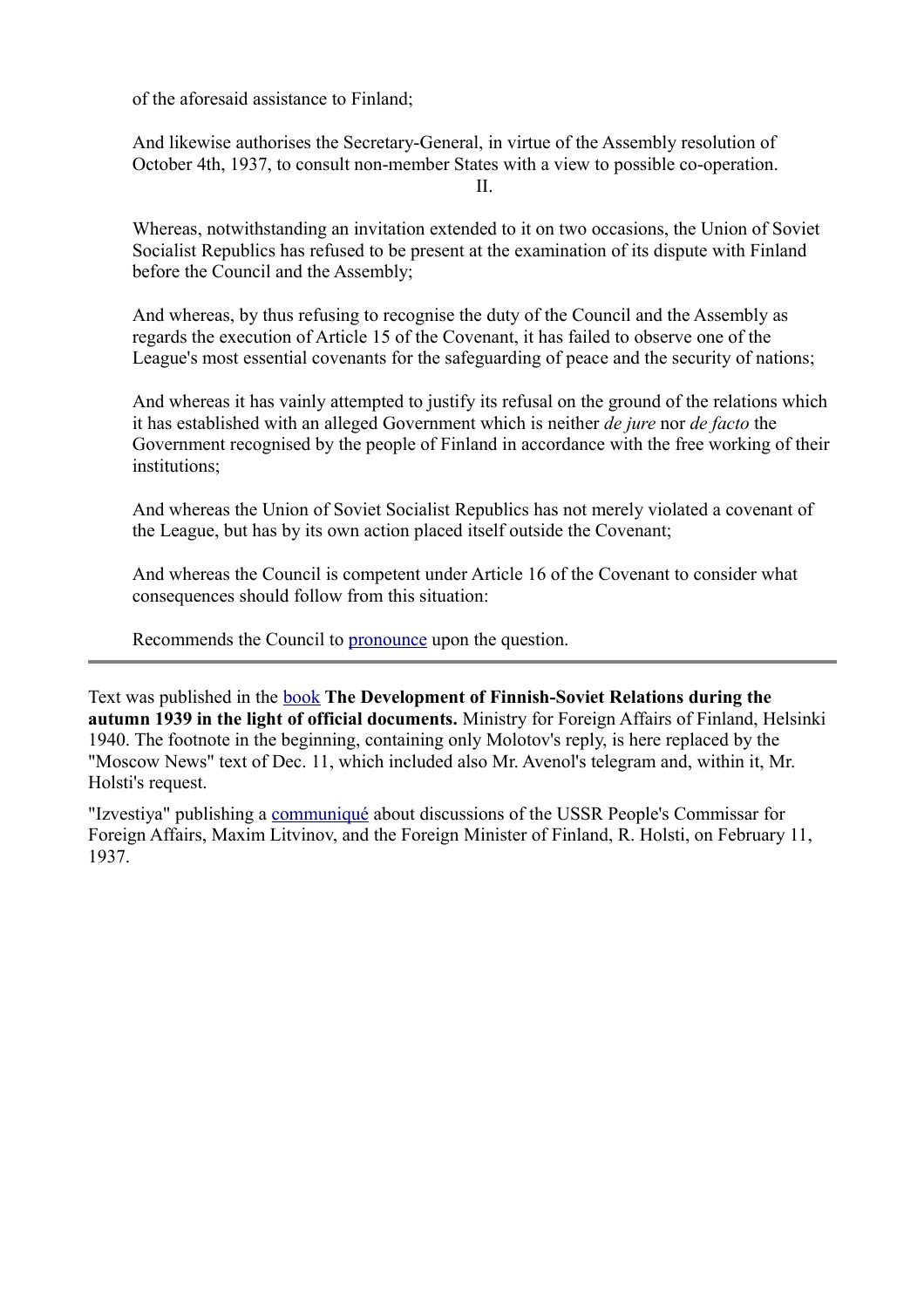of the aforesaid assistance to Finland;

And likewise authorises the Secretary-General, in virtue of the Assembly resolution of October 4th, 1937, to consult non-member States with a view to possible co-operation. II.

Whereas, notwithstanding an invitation extended to it on two occasions, the Union of Soviet Socialist Republics has refused to be present at the examination of its dispute with Finland before the Council and the Assembly;

And whereas, by thus refusing to recognise the duty of the Council and the Assembly as regards the execution of Article 15 of the Covenant, it has failed to observe one of the League's most essential covenants for the safeguarding of peace and the security of nations;

And whereas it has vainly attempted to justify its refusal on the ground of the relations which it has established with an alleged Government which is neither *de jure* nor *de facto* the Government recognised by the people of Finland in accordance with the free working of their institutions;

And whereas the Union of Soviet Socialist Republics has not merely violated a covenant of the League, but has by its own action placed itself outside the Covenant;

And whereas the Council is competent under Article 16 of the Covenant to consider what consequences should follow from this situation:

Recommends the Council to [pronounce](file:///Y:/Omia/Kotisivu%20current/history/league2.html) upon the question.

Text was published in the [book](file:///Y:/Omia/Kotisivu%20current/pdf/Documents%20concerning%20Finnish-Soviet%20relations%20during%20the%20autumn%201939.pdf) **The Development of Finnish-Soviet Relations during the autumn 1939 in the light of official documents.** Ministry for Foreign Affairs of Finland, Helsinki 1940. The footnote in the beginning, containing only Molotov's reply, is here replaced by the "Moscow News" text of Dec. 11, which included also Mr. Avenol's telegram and, within it, Mr. Holsti's request.

"Izvestiya" publishing a [communiqué](file:///Y:/Omia/Kotisivu%20current/history/litvinov-holsti.html) about discussions of the USSR People's Commissar for Foreign Affairs, Maxim Litvinov, and the Foreign Minister of Finland, R. Holsti, on February 11, 1937.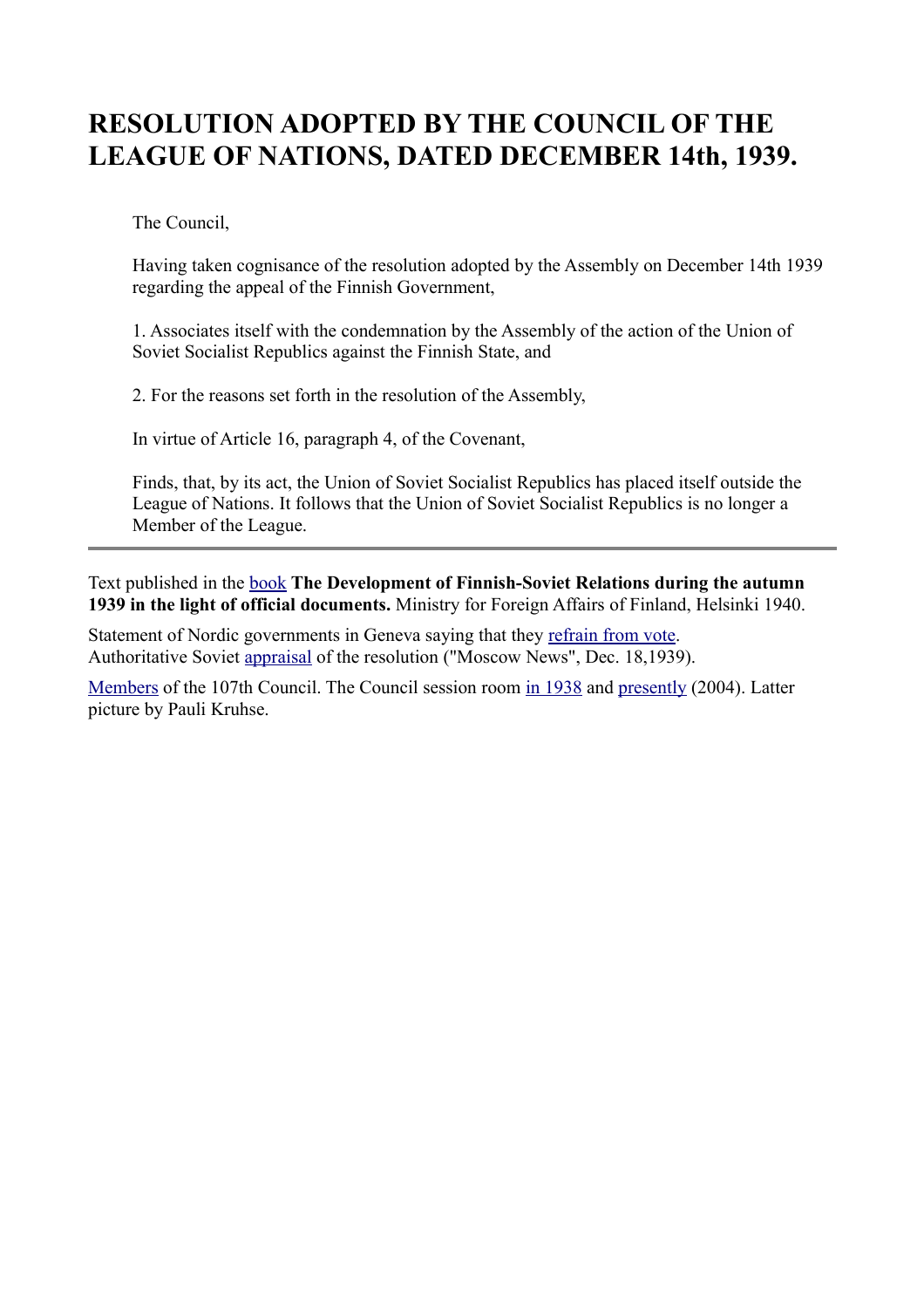# **RESOLUTION ADOPTED BY THE COUNCIL OF THE LEAGUE OF NATIONS, DATED DECEMBER 14th, 1939.**

The Council,

Having taken cognisance of the resolution adopted by the Assembly on December 14th 1939 regarding the appeal of the Finnish Government,

1. Associates itself with the condemnation by the Assembly of the action of the Union of Soviet Socialist Republics against the Finnish State, and

2. For the reasons set forth in the resolution of the Assembly,

In virtue of Article 16, paragraph 4, of the Covenant,

Finds, that, by its act, the Union of Soviet Socialist Republics has placed itself outside the League of Nations. It follows that the Union of Soviet Socialist Republics is no longer a Member of the League.

Text published in the [book](file:///Y:/Omia/Kotisivu%20current/pdf/Documents%20concerning%20Finnish-Soviet%20relations%20during%20the%20autumn%201939.pdf) **The Development of Finnish-Soviet Relations during the autumn 1939 in the light of official documents.** Ministry for Foreign Affairs of Finland, Helsinki 1940.

Statement of Nordic governments in Geneva saying that they [refrain from vote.](file:///Y:/Omia/Kotisivu%20current/history/1939-12-14.html) Authoritative Soviet [appraisal](file:///Y:/Omia/Kotisivu%20current/history/tass.html) of the resolution ("Moscow News", Dec. 18,1939).

[Members](http://www.indiana.edu/~league/councilsess107.htm) of the 107th Council. The Council session room [in 1938](http://www.indiana.edu/~librcsd/nt/db.cgi?db=ig&do=search_results&details=2&ID=603&ID-opt==) and [presently](file:///Y:/Omia/Kotisivu%20current/historia/pic/league.jpg) (2004). Latter picture by Pauli Kruhse.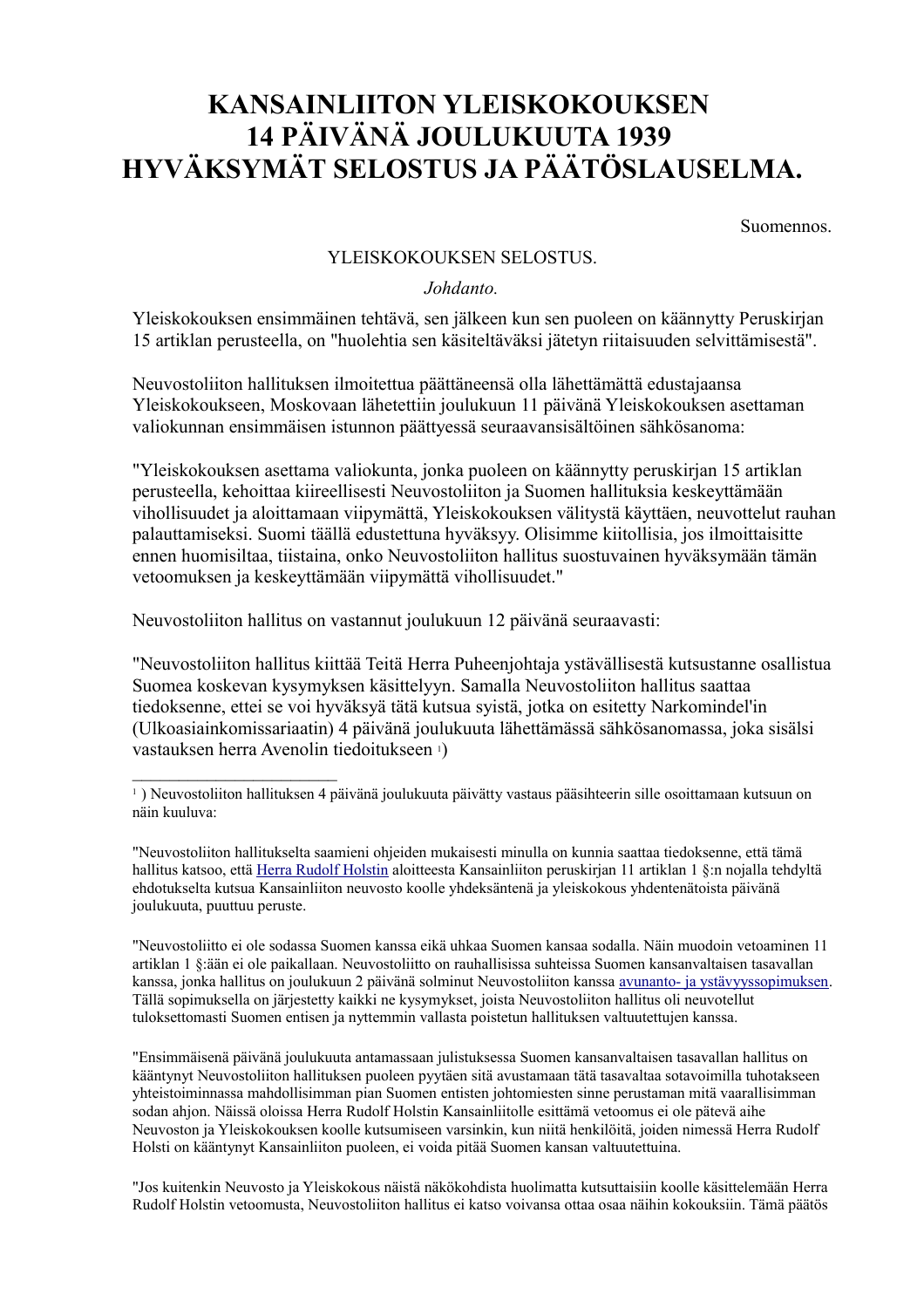# **KANSAINLIITON YLEISKOKOUKSEN 14 PÄIVÄNÄ JOULUKUUTA 1939 HYVÄKSYMÄT SELOSTUS JA PÄÄTÖSLAUSELMA.**

Suomennos.

#### YLEISKOKOUKSEN SELOSTUS.

#### *Johdanto.*

Yleiskokouksen ensimmäinen tehtävä, sen jälkeen kun sen puoleen on käännytty Peruskirjan 15 artiklan perusteella, on "huolehtia sen käsiteltäväksi jätetyn riitaisuuden selvittämisestä".

Neuvostoliiton hallituksen ilmoitettua päättäneensä olla lähettämättä edustajaansa Yleiskokoukseen, Moskovaan lähetettiin joulukuun 11 päivänä Yleiskokouksen asettaman valiokunnan ensimmäisen istunnon päättyessä seuraavansisältöinen sähkösanoma:

"Yleiskokouksen asettama valiokunta, jonka puoleen on käännytty peruskirjan 15 artiklan perusteella, kehoittaa kiireellisesti Neuvostoliiton ja Suomen hallituksia keskeyttämään vihollisuudet ja aloittamaan viipymättä, Yleiskokouksen välitystä käyttäen, neuvottelut rauhan palauttamiseksi. Suomi täällä edustettuna hyväksyy. Olisimme kiitollisia, jos ilmoittaisitte ennen huomisiltaa, tiistaina, onko Neuvostoliiton hallitus suostuvainen hyväksymään tämän vetoomuksen ja keskeyttämään viipymättä vihollisuudet."

Neuvostoliiton hallitus on vastannut joulukuun 12 päivänä seuraavasti:

 $\mathcal{L}_\text{max}$  , where  $\mathcal{L}_\text{max}$ 

"Neuvostoliiton hallitus kiittää Teitä Herra Puheenjohtaja ystävällisestä kutsustanne osallistua Suomea koskevan kysymyksen käsittelyyn. Samalla Neuvostoliiton hallitus saattaa tiedoksenne, ettei se voi hyväksyä tätä kutsua syistä, jotka on esitetty Narkomindel'in (Ulkoasiainkomissariaatin) 4 päivänä joulukuuta lähettämässä sähkösanomassa, joka sisälsi vastauksen herra Avenolin tiedoitukseen 1)

"Neuvostoliitto ei ole sodassa Suomen kanssa eikä uhkaa Suomen kansaa sodalla. Näin muodoin vetoaminen 11 artiklan 1 §:ään ei ole paikallaan. Neuvostoliitto on rauhallisissa suhteissa Suomen kansanvaltaisen tasavallan kanssa, jonka hallitus on joulukuun 2 päivänä solminut Neuvostoliiton kanssa [avunanto- ja ystävyyssopimuksen.](http://heninen.net/sopimus/1939_f.htm) Tällä sopimuksella on järjestetty kaikki ne kysymykset, joista Neuvostoliiton hallitus oli neuvotellut tuloksettomasti Suomen entisen ja nyttemmin vallasta poistetun hallituksen valtuutettujen kanssa.

"Ensimmäisenä päivänä joulukuuta antamassaan julistuksessa Suomen kansanvaltaisen tasavallan hallitus on kääntynyt Neuvostoliiton hallituksen puoleen pyytäen sitä avustamaan tätä tasavaltaa sotavoimilla tuhotakseen yhteistoiminnassa mahdollisimman pian Suomen entisten johtomiesten sinne perustaman mitä vaarallisimman sodan ahjon. Näissä oloissa Herra Rudolf Holstin Kansainliitolle esittämä vetoomus ei ole pätevä aihe Neuvoston ja Yleiskokouksen koolle kutsumiseen varsinkin, kun niitä henkilöitä, joiden nimessä Herra Rudolf Holsti on kääntynyt Kansainliiton puoleen, ei voida pitää Suomen kansan valtuutettuina.

"Jos kuitenkin Neuvosto ja Yleiskokous näistä näkökohdista huolimatta kutsuttaisiin koolle käsittelemään Herra Rudolf Holstin vetoomusta, Neuvostoliiton hallitus ei katso voivansa ottaa osaa näihin kokouksiin. Tämä päätös

<sup>1</sup> ) Neuvostoliiton hallituksen 4 päivänä joulukuuta päivätty vastaus pääsihteerin sille osoittamaan kutsuun on näin kuuluva:

<sup>&</sup>quot;Neuvostoliiton hallitukselta saamieni ohjeiden mukaisesti minulla on kunnia saattaa tiedoksenne, että tämä hallitus katsoo, että [Herra Rudolf Holstin](http://www.indiana.edu/~librcsd/nt/db.cgi?db=ig&do=search_results&details=2&ID=889&ID-opt==) aloitteesta Kansainliiton peruskirjan 11 artiklan 1 §:n nojalla tehdyltä ehdotukselta kutsua Kansainliiton neuvosto koolle yhdeksäntenä ja yleiskokous yhdentenätoista päivänä joulukuuta, puuttuu peruste.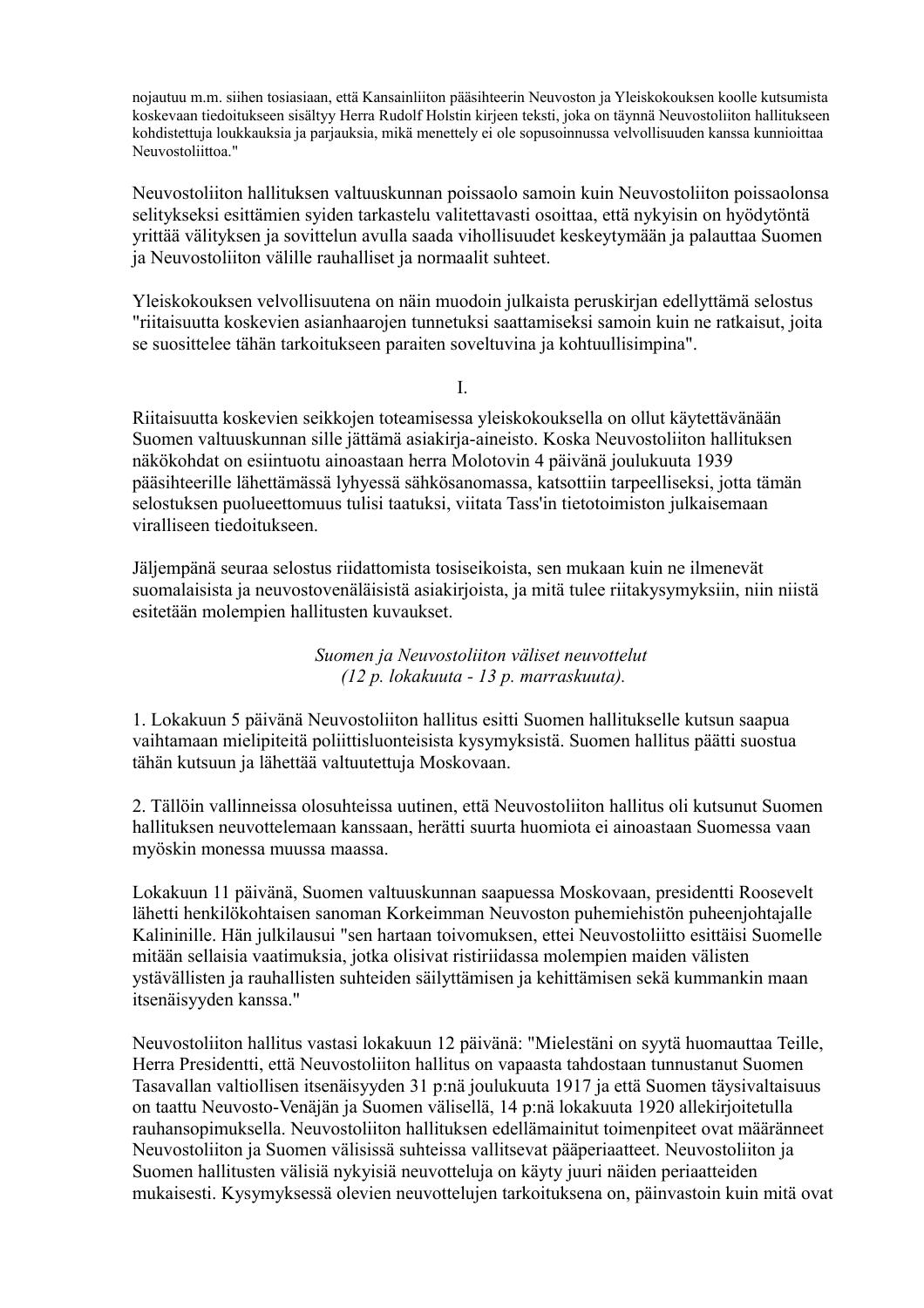nojautuu m.m. siihen tosiasiaan, että Kansainliiton pääsihteerin Neuvoston ja Yleiskokouksen koolle kutsumista koskevaan tiedoitukseen sisältyy Herra Rudolf Holstin kirjeen teksti, joka on täynnä Neuvostoliiton hallitukseen kohdistettuja loukkauksia ja parjauksia, mikä menettely ei ole sopusoinnussa velvollisuuden kanssa kunnioittaa Neuvostoliittoa."

Neuvostoliiton hallituksen valtuuskunnan poissaolo samoin kuin Neuvostoliiton poissaolonsa selitykseksi esittämien syiden tarkastelu valitettavasti osoittaa, että nykyisin on hyödytöntä yrittää välityksen ja sovittelun avulla saada vihollisuudet keskeytymään ja palauttaa Suomen ja Neuvostoliiton välille rauhalliset ja normaalit suhteet.

Yleiskokouksen velvollisuutena on näin muodoin julkaista peruskirjan edellyttämä selostus "riitaisuutta koskevien asianhaarojen tunnetuksi saattamiseksi samoin kuin ne ratkaisut, joita se suosittelee tähän tarkoitukseen paraiten soveltuvina ja kohtuullisimpina".

I.

Riitaisuutta koskevien seikkojen toteamisessa yleiskokouksella on ollut käytettävänään Suomen valtuuskunnan sille jättämä asiakirja-aineisto. Koska Neuvostoliiton hallituksen näkökohdat on esiintuotu ainoastaan herra Molotovin 4 päivänä joulukuuta 1939 pääsihteerille lähettämässä lyhyessä sähkösanomassa, katsottiin tarpeelliseksi, jotta tämän selostuksen puolueettomuus tulisi taatuksi, viitata Tass'in tietotoimiston julkaisemaan viralliseen tiedoitukseen.

Jäljempänä seuraa selostus riidattomista tosiseikoista, sen mukaan kuin ne ilmenevät suomalaisista ja neuvostovenäläisistä asiakirjoista, ja mitä tulee riitakysymyksiin, niin niistä esitetään molempien hallitusten kuvaukset.

> *Suomen ja Neuvostoliiton väliset neuvottelut (12 p. lokakuuta - 13 p. marraskuuta).*

1. Lokakuun 5 päivänä Neuvostoliiton hallitus esitti Suomen hallitukselle kutsun saapua vaihtamaan mielipiteitä poliittisluonteisista kysymyksistä. Suomen hallitus päätti suostua tähän kutsuun ja lähettää valtuutettuja Moskovaan.

2. Tällöin vallinneissa olosuhteissa uutinen, että Neuvostoliiton hallitus oli kutsunut Suomen hallituksen neuvottelemaan kanssaan, herätti suurta huomiota ei ainoastaan Suomessa vaan myöskin monessa muussa maassa.

Lokakuun 11 päivänä, Suomen valtuuskunnan saapuessa Moskovaan, presidentti Roosevelt lähetti henkilökohtaisen sanoman Korkeimman Neuvoston puhemiehistön puheenjohtajalle Kalininille. Hän julkilausui "sen hartaan toivomuksen, ettei Neuvostoliitto esittäisi Suomelle mitään sellaisia vaatimuksia, jotka olisivat ristiriidassa molempien maiden välisten ystävällisten ja rauhallisten suhteiden säilyttämisen ja kehittämisen sekä kummankin maan itsenäisyyden kanssa."

Neuvostoliiton hallitus vastasi lokakuun 12 päivänä: "Mielestäni on syytä huomauttaa Teille, Herra Presidentti, että Neuvostoliiton hallitus on vapaasta tahdostaan tunnustanut Suomen Tasavallan valtiollisen itsenäisyyden 31 p:nä joulukuuta 1917 ja että Suomen täysivaltaisuus on taattu Neuvosto-Venäjän ja Suomen välisellä, 14 p:nä lokakuuta 1920 allekirjoitetulla rauhansopimuksella. Neuvostoliiton hallituksen edellämainitut toimenpiteet ovat määränneet Neuvostoliiton ja Suomen välisissä suhteissa vallitsevat pääperiaatteet. Neuvostoliiton ja Suomen hallitusten välisiä nykyisiä neuvotteluja on käyty juuri näiden periaatteiden mukaisesti. Kysymyksessä olevien neuvottelujen tarkoituksena on, päinvastoin kuin mitä ovat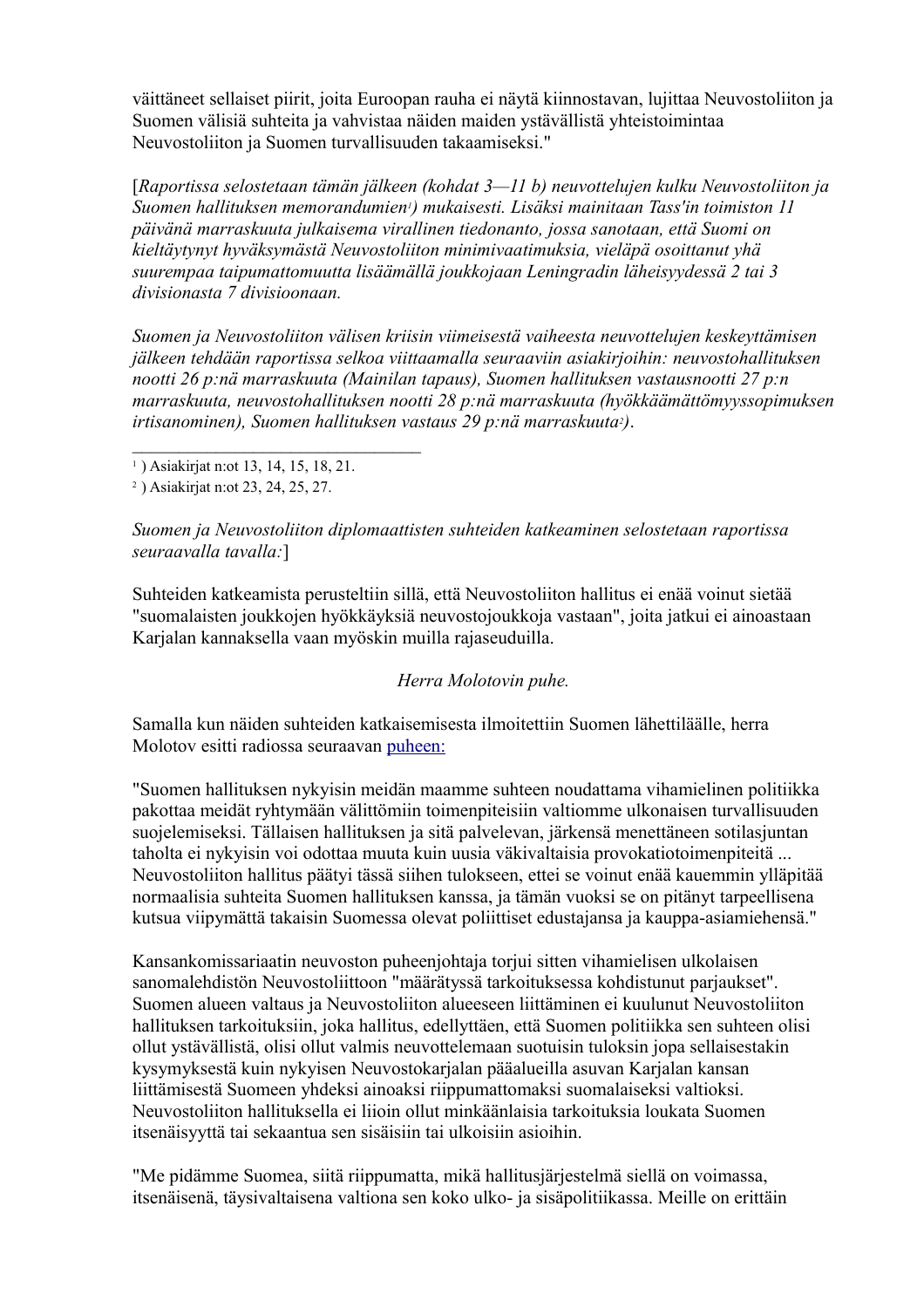väittäneet sellaiset piirit, joita Euroopan rauha ei näytä kiinnostavan, lujittaa Neuvostoliiton ja Suomen välisiä suhteita ja vahvistaa näiden maiden ystävällistä yhteistoimintaa Neuvostoliiton ja Suomen turvallisuuden takaamiseksi."

[*Raportissa selostetaan tämän jälkeen (kohdat 3—11 b) neuvottelujen kulku Neuvostoliiton ja Suomen hallituksen memorandumien1) mukaisesti. Lisäksi mainitaan Tass'in toimiston 11 päivänä marraskuuta julkaisema virallinen tiedonanto, jossa sanotaan, että Suomi on kieltäytynyt hyväksymästä Neuvostoliiton minimivaatimuksia, vieläpä osoittanut yhä suurempaa taipumattomuutta lisäämällä joukkojaan Leningradin läheisyydessä 2 tai 3 divisionasta 7 divisioonaan.* 

*Suomen ja Neuvostoliiton välisen kriisin viimeisestä vaiheesta neuvottelujen keskeyttämisen jälkeen tehdään raportissa selkoa viittaamalla seuraaviin asiakirjoihin: neuvostohallituksen nootti 26 p:nä marraskuuta (Mainilan tapaus), Suomen hallituksen vastausnootti 27 p:n marraskuuta, neuvostohallituksen nootti 28 p:nä marraskuuta (hyökkäämättömyyssopimuksen irtisanominen), Suomen hallituksen vastaus 29 p:nä marraskuuta2)*.

2 ) Asiakirjat n:ot 23, 24, 25, 27.

*Suomen ja Neuvostoliiton diplomaattisten suhteiden katkeaminen selostetaan raportissa seuraavalla tavalla:*]

Suhteiden katkeamista perusteltiin sillä, että Neuvostoliiton hallitus ei enää voinut sietää "suomalaisten joukkojen hyökkäyksiä neuvostojoukkoja vastaan", joita jatkui ei ainoastaan Karjalan kannaksella vaan myöskin muilla rajaseuduilla.

#### *Herra Molotovin puhe.*

Samalla kun näiden suhteiden katkaisemisesta ilmoitettiin Suomen lähettiläälle, herra Molotov esitti radiossa seuraavan [puheen:](file:///Y:/Omia/Kotisivu%20current/historia/molotov_radio_29111939_fi.html)

"Suomen hallituksen nykyisin meidän maamme suhteen noudattama vihamielinen politiikka pakottaa meidät ryhtymään välittömiin toimenpiteisiin valtiomme ulkonaisen turvallisuuden suojelemiseksi. Tällaisen hallituksen ja sitä palvelevan, järkensä menettäneen sotilasjuntan taholta ei nykyisin voi odottaa muuta kuin uusia väkivaltaisia provokatiotoimenpiteitä ... Neuvostoliiton hallitus päätyi tässä siihen tulokseen, ettei se voinut enää kauemmin ylläpitää normaalisia suhteita Suomen hallituksen kanssa, ja tämän vuoksi se on pitänyt tarpeellisena kutsua viipymättä takaisin Suomessa olevat poliittiset edustajansa ja kauppa-asiamiehensä."

Kansankomissariaatin neuvoston puheenjohtaja torjui sitten vihamielisen ulkolaisen sanomalehdistön Neuvostoliittoon "määrätyssä tarkoituksessa kohdistunut parjaukset". Suomen alueen valtaus ja Neuvostoliiton alueeseen liittäminen ei kuulunut Neuvostoliiton hallituksen tarkoituksiin, joka hallitus, edellyttäen, että Suomen politiikka sen suhteen olisi ollut ystävällistä, olisi ollut valmis neuvottelemaan suotuisin tuloksin jopa sellaisestakin kysymyksestä kuin nykyisen Neuvostokarjalan pääalueilla asuvan Karjalan kansan liittämisestä Suomeen yhdeksi ainoaksi riippumattomaksi suomalaiseksi valtioksi. Neuvostoliiton hallituksella ei liioin ollut minkäänlaisia tarkoituksia loukata Suomen itsenäisyyttä tai sekaantua sen sisäisiin tai ulkoisiin asioihin.

"Me pidämme Suomea, siitä riippumatta, mikä hallitusjärjestelmä siellä on voimassa, itsenäisenä, täysivaltaisena valtiona sen koko ulko- ja sisäpolitiikassa. Meille on erittäin

<sup>1</sup> ) Asiakirjat n:ot 13, 14, 15, 18, 21.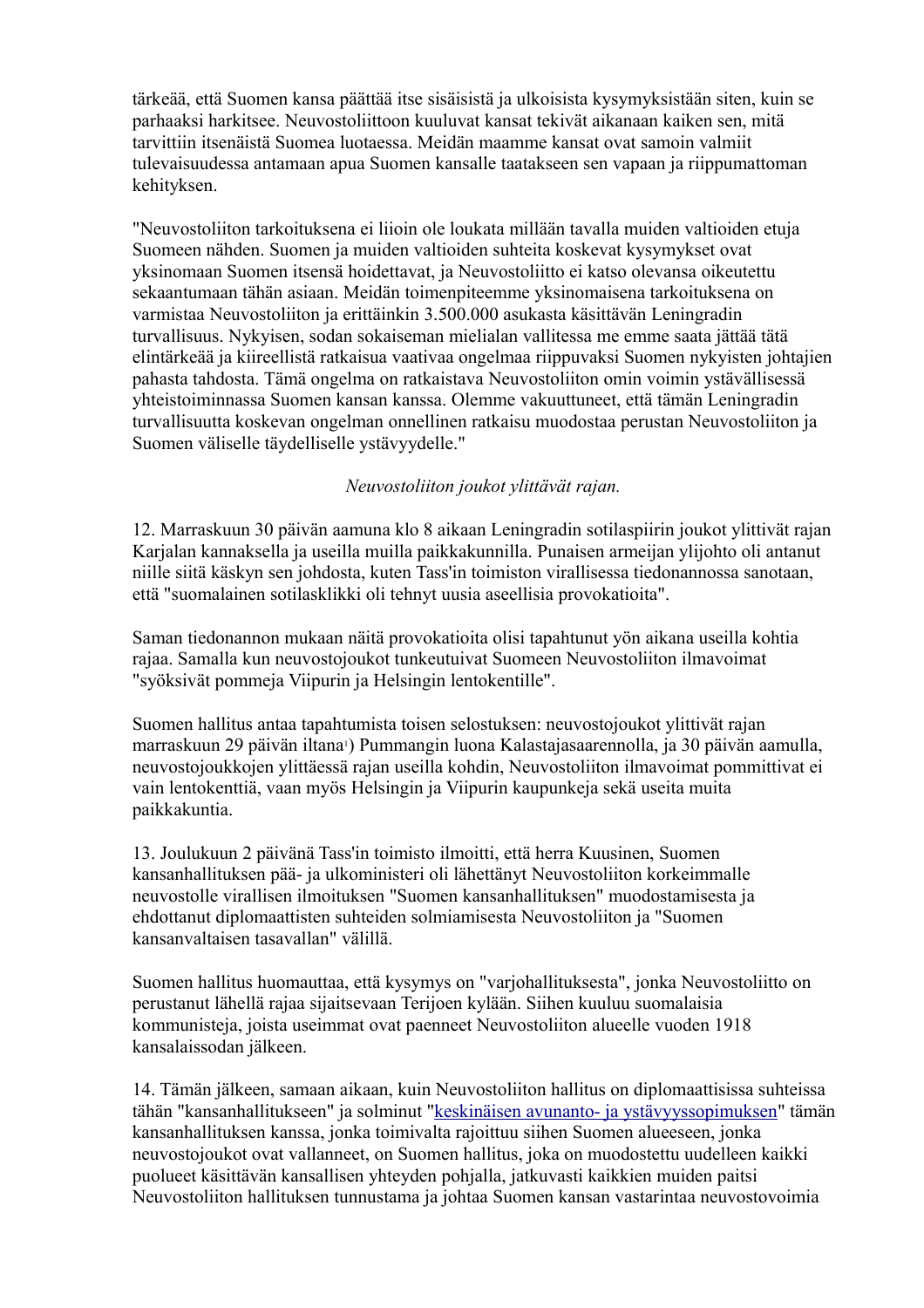tärkeää, että Suomen kansa päättää itse sisäisistä ja ulkoisista kysymyksistään siten, kuin se parhaaksi harkitsee. Neuvostoliittoon kuuluvat kansat tekivät aikanaan kaiken sen, mitä tarvittiin itsenäistä Suomea luotaessa. Meidän maamme kansat ovat samoin valmiit tulevaisuudessa antamaan apua Suomen kansalle taatakseen sen vapaan ja riippumattoman kehityksen.

"Neuvostoliiton tarkoituksena ei liioin ole loukata millään tavalla muiden valtioiden etuja Suomeen nähden. Suomen ja muiden valtioiden suhteita koskevat kysymykset ovat yksinomaan Suomen itsensä hoidettavat, ja Neuvostoliitto ei katso olevansa oikeutettu sekaantumaan tähän asiaan. Meidän toimenpiteemme yksinomaisena tarkoituksena on varmistaa Neuvostoliiton ja erittäinkin 3.500.000 asukasta käsittävän Leningradin turvallisuus. Nykyisen, sodan sokaiseman mielialan vallitessa me emme saata jättää tätä elintärkeää ja kiireellistä ratkaisua vaativaa ongelmaa riippuvaksi Suomen nykyisten johtajien pahasta tahdosta. Tämä ongelma on ratkaistava Neuvostoliiton omin voimin ystävällisessä yhteistoiminnassa Suomen kansan kanssa. Olemme vakuuttuneet, että tämän Leningradin turvallisuutta koskevan ongelman onnellinen ratkaisu muodostaa perustan Neuvostoliiton ja Suomen väliselle täydelliselle ystävyydelle."

#### *Neuvostoliiton joukot ylittävät rajan.*

12. Marraskuun 30 päivän aamuna klo 8 aikaan Leningradin sotilaspiirin joukot ylittivät rajan Karjalan kannaksella ja useilla muilla paikkakunnilla. Punaisen armeijan ylijohto oli antanut niille siitä käskyn sen johdosta, kuten Tass'in toimiston virallisessa tiedonannossa sanotaan, että "suomalainen sotilasklikki oli tehnyt uusia aseellisia provokatioita".

Saman tiedonannon mukaan näitä provokatioita olisi tapahtunut yön aikana useilla kohtia rajaa. Samalla kun neuvostojoukot tunkeutuivat Suomeen Neuvostoliiton ilmavoimat "syöksivät pommeja Viipurin ja Helsingin lentokentille".

Suomen hallitus antaa tapahtumista toisen selostuksen: neuvostojoukot ylittivät rajan marraskuun 29 päivän iltana1) Pummangin luona Kalastajasaarennolla, ja 30 päivän aamulla, neuvostojoukkojen ylittäessä rajan useilla kohdin, Neuvostoliiton ilmavoimat pommittivat ei vain lentokenttiä, vaan myös Helsingin ja Viipurin kaupunkeja sekä useita muita paikkakuntia.

13. Joulukuun 2 päivänä Tass'in toimisto ilmoitti, että herra Kuusinen, Suomen kansanhallituksen pää- ja ulkoministeri oli lähettänyt Neuvostoliiton korkeimmalle neuvostolle virallisen ilmoituksen "Suomen kansanhallituksen" muodostamisesta ja ehdottanut diplomaattisten suhteiden solmiamisesta Neuvostoliiton ja "Suomen kansanvaltaisen tasavallan" välillä.

Suomen hallitus huomauttaa, että kysymys on "varjohallituksesta", jonka Neuvostoliitto on perustanut lähellä rajaa sijaitsevaan Terijoen kylään. Siihen kuuluu suomalaisia kommunisteja, joista useimmat ovat paenneet Neuvostoliiton alueelle vuoden 1918 kansalaissodan jälkeen.

14. Tämän jälkeen, samaan aikaan, kuin Neuvostoliiton hallitus on diplomaattisissa suhteissa tähän "kansanhallitukseen" ja solminut ["keskinäisen avunanto- ja ystävyyssopimuksen"](http://heninen.net/sopimus/1939_f.htm) tämän kansanhallituksen kanssa, jonka toimivalta rajoittuu siihen Suomen alueeseen, jonka neuvostojoukot ovat vallanneet, on Suomen hallitus, joka on muodostettu uudelleen kaikki puolueet käsittävän kansallisen yhteyden pohjalla, jatkuvasti kaikkien muiden paitsi Neuvostoliiton hallituksen tunnustama ja johtaa Suomen kansan vastarintaa neuvostovoimia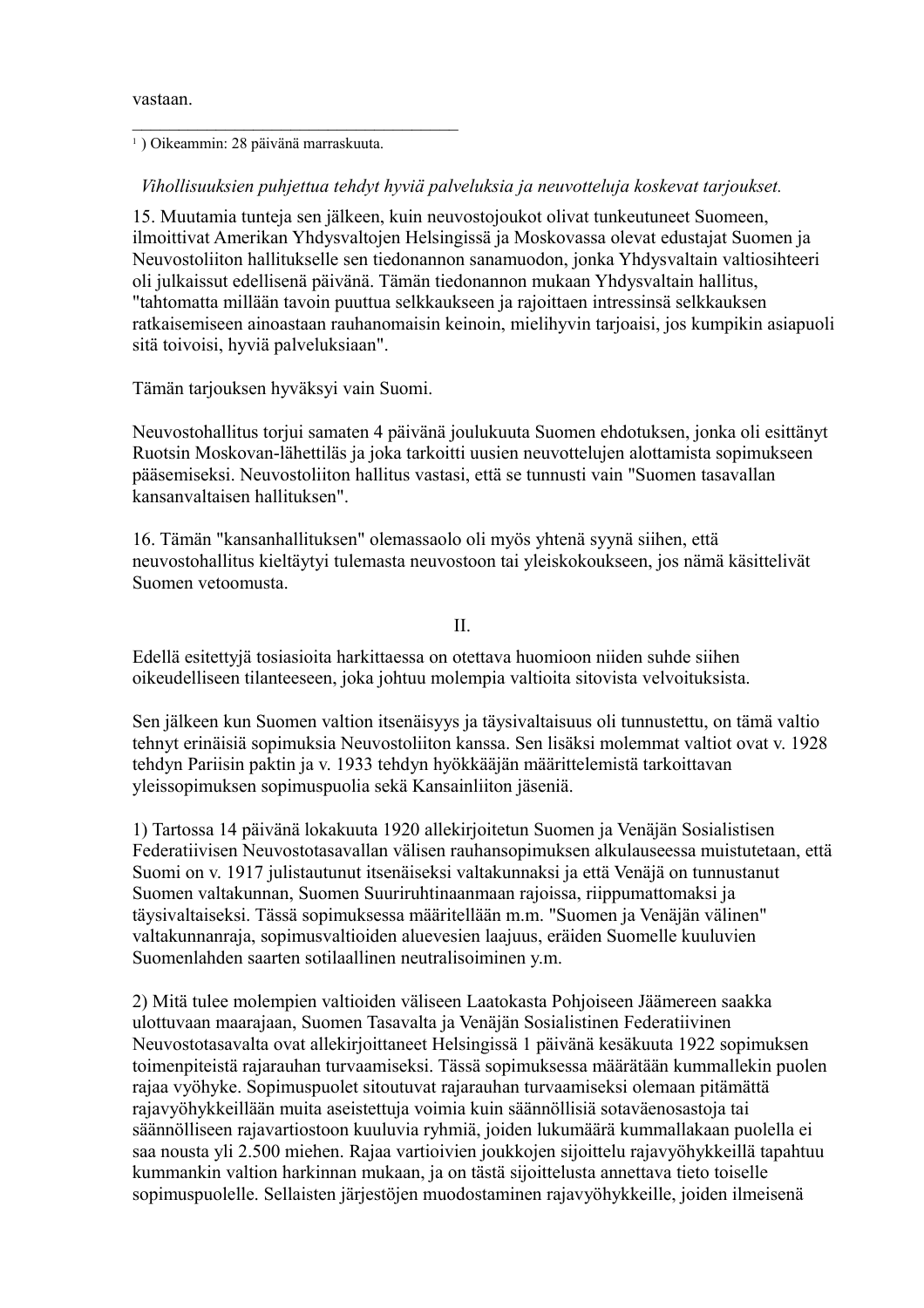vastaan.

1 ) Oikeammin: 28 päivänä marraskuuta.

#### *Vihollisuuksien puhjettua tehdyt hyviä palveluksia ja neuvotteluja koskevat tarjoukset.*

15. Muutamia tunteja sen jälkeen, kuin neuvostojoukot olivat tunkeutuneet Suomeen, ilmoittivat Amerikan Yhdysvaltojen Helsingissä ja Moskovassa olevat edustajat Suomen ja Neuvostoliiton hallitukselle sen tiedonannon sanamuodon, jonka Yhdysvaltain valtiosihteeri oli julkaissut edellisenä päivänä. Tämän tiedonannon mukaan Yhdysvaltain hallitus, "tahtomatta millään tavoin puuttua selkkaukseen ja rajoittaen intressinsä selkkauksen ratkaisemiseen ainoastaan rauhanomaisin keinoin, mielihyvin tarjoaisi, jos kumpikin asiapuoli sitä toivoisi, hyviä palveluksiaan".

Tämän tarjouksen hyväksyi vain Suomi.

Neuvostohallitus torjui samaten 4 päivänä joulukuuta Suomen ehdotuksen, jonka oli esittänyt Ruotsin Moskovan-lähettiläs ja joka tarkoitti uusien neuvottelujen alottamista sopimukseen pääsemiseksi. Neuvostoliiton hallitus vastasi, että se tunnusti vain "Suomen tasavallan kansanvaltaisen hallituksen".

16. Tämän "kansanhallituksen" olemassaolo oli myös yhtenä syynä siihen, että neuvostohallitus kieltäytyi tulemasta neuvostoon tai yleiskokoukseen, jos nämä käsittelivät Suomen vetoomusta.

II.

Edellä esitettyjä tosiasioita harkittaessa on otettava huomioon niiden suhde siihen oikeudelliseen tilanteeseen, joka johtuu molempia valtioita sitovista velvoituksista.

Sen jälkeen kun Suomen valtion itsenäisyys ja täysivaltaisuus oli tunnustettu, on tämä valtio tehnyt erinäisiä sopimuksia Neuvostoliiton kanssa. Sen lisäksi molemmat valtiot ovat v. 1928 tehdyn Pariisin paktin ja v. 1933 tehdyn hyökkääjän määrittelemistä tarkoittavan yleissopimuksen sopimuspuolia sekä Kansainliiton jäseniä.

1) Tartossa 14 päivänä lokakuuta 1920 allekirjoitetun Suomen ja Venäjän Sosialistisen Federatiivisen Neuvostotasavallan välisen rauhansopimuksen alkulauseessa muistutetaan, että Suomi on v. 1917 julistautunut itsenäiseksi valtakunnaksi ja että Venäjä on tunnustanut Suomen valtakunnan, Suomen Suuriruhtinaanmaan rajoissa, riippumattomaksi ja täysivaltaiseksi. Tässä sopimuksessa määritellään m.m. "Suomen ja Venäjän välinen" valtakunnanraja, sopimusvaltioiden aluevesien laajuus, eräiden Suomelle kuuluvien Suomenlahden saarten sotilaallinen neutralisoiminen y.m.

2) Mitä tulee molempien valtioiden väliseen Laatokasta Pohjoiseen Jäämereen saakka ulottuvaan maarajaan, Suomen Tasavalta ja Venäjän Sosialistinen Federatiivinen Neuvostotasavalta ovat allekirjoittaneet Helsingissä 1 päivänä kesäkuuta 1922 sopimuksen toimenpiteistä rajarauhan turvaamiseksi. Tässä sopimuksessa määrätään kummallekin puolen rajaa vyöhyke. Sopimuspuolet sitoutuvat rajarauhan turvaamiseksi olemaan pitämättä rajavyöhykkeillään muita aseistettuja voimia kuin säännöllisiä sotaväenosastoja tai säännölliseen rajavartiostoon kuuluvia ryhmiä, joiden lukumäärä kummallakaan puolella ei saa nousta yli 2.500 miehen. Rajaa vartioivien joukkojen sijoittelu rajavyöhykkeillä tapahtuu kummankin valtion harkinnan mukaan, ja on tästä sijoittelusta annettava tieto toiselle sopimuspuolelle. Sellaisten järjestöjen muodostaminen rajavyöhykkeille, joiden ilmeisenä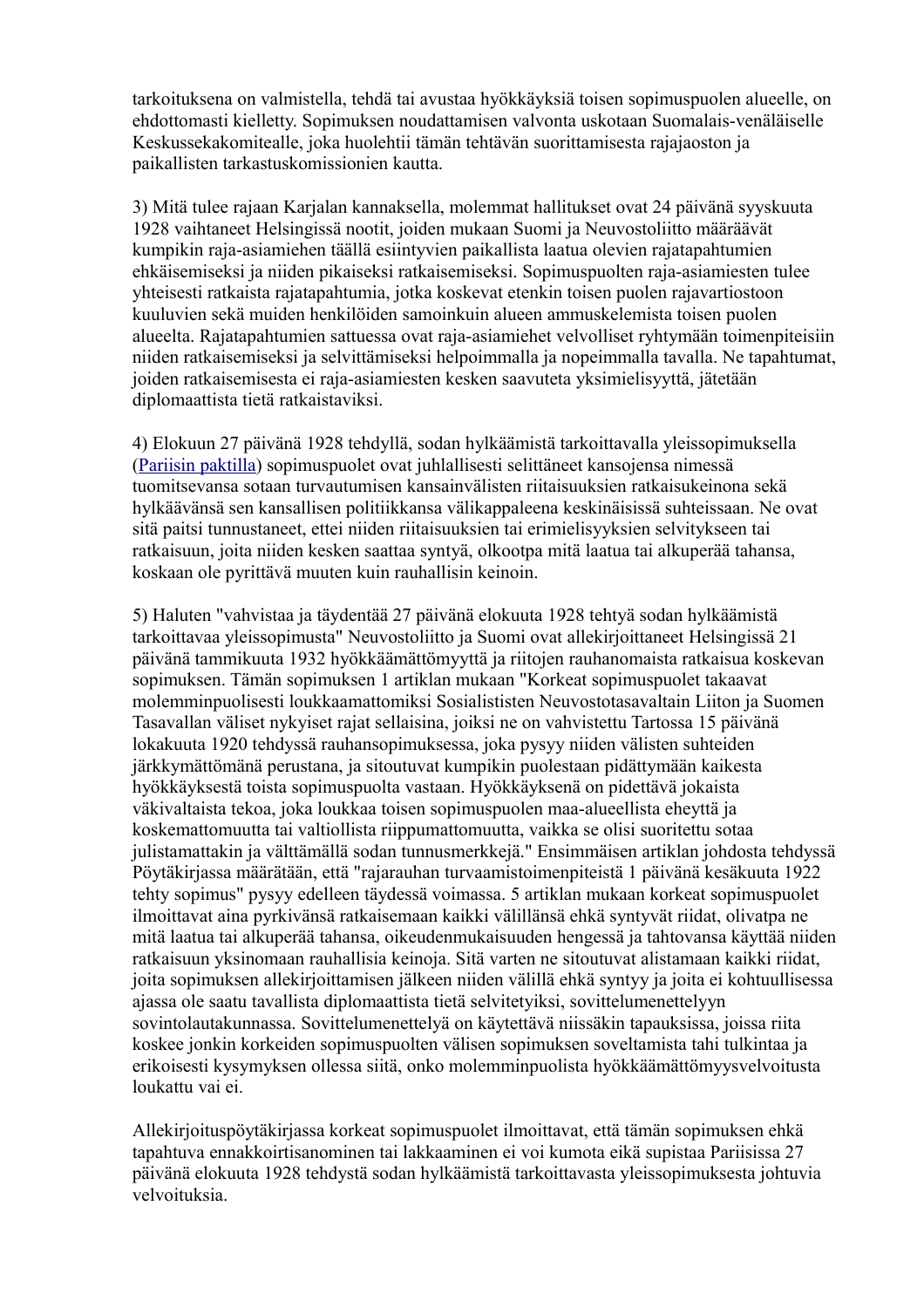tarkoituksena on valmistella, tehdä tai avustaa hyökkäyksiä toisen sopimuspuolen alueelle, on ehdottomasti kielletty. Sopimuksen noudattamisen valvonta uskotaan Suomalais-venäläiselle Keskussekakomitealle, joka huolehtii tämän tehtävän suorittamisesta rajajaoston ja paikallisten tarkastuskomissionien kautta.

3) Mitä tulee rajaan Karjalan kannaksella, molemmat hallitukset ovat 24 päivänä syyskuuta 1928 vaihtaneet Helsingissä nootit, joiden mukaan Suomi ja Neuvostoliitto määräävät kumpikin raja-asiamiehen täällä esiintyvien paikallista laatua olevien rajatapahtumien ehkäisemiseksi ja niiden pikaiseksi ratkaisemiseksi. Sopimuspuolten raja-asiamiesten tulee yhteisesti ratkaista rajatapahtumia, jotka koskevat etenkin toisen puolen rajavartiostoon kuuluvien sekä muiden henkilöiden samoinkuin alueen ammuskelemista toisen puolen alueelta. Rajatapahtumien sattuessa ovat raja-asiamiehet velvolliset ryhtymään toimenpiteisiin niiden ratkaisemiseksi ja selvittämiseksi helpoimmalla ja nopeimmalla tavalla. Ne tapahtumat, joiden ratkaisemisesta ei raja-asiamiesten kesken saavuteta yksimielisyyttä, jätetään diplomaattista tietä ratkaistaviksi.

4) Elokuun 27 päivänä 1928 tehdyllä, sodan hylkäämistä tarkoittavalla yleissopimuksella [\(Pariisin paktilla\)](http://www.finlex.fi/fi/sopimukset/sopsteksti/1929/19290025/19290025_1) sopimuspuolet ovat juhlallisesti selittäneet kansojensa nimessä tuomitsevansa sotaan turvautumisen kansainvälisten riitaisuuksien ratkaisukeinona sekä hylkäävänsä sen kansallisen politiikkansa välikappaleena keskinäisissä suhteissaan. Ne ovat sitä paitsi tunnustaneet, ettei niiden riitaisuuksien tai erimielisyyksien selvitykseen tai ratkaisuun, joita niiden kesken saattaa syntyä, olkootpa mitä laatua tai alkuperää tahansa, koskaan ole pyrittävä muuten kuin rauhallisin keinoin.

5) Haluten "vahvistaa ja täydentää 27 päivänä elokuuta 1928 tehtyä sodan hylkäämistä tarkoittavaa yleissopimusta" Neuvostoliitto ja Suomi ovat allekirjoittaneet Helsingissä 21 päivänä tammikuuta 1932 hyökkäämättömyyttä ja riitojen rauhanomaista ratkaisua koskevan sopimuksen. Tämän sopimuksen 1 artiklan mukaan "Korkeat sopimuspuolet takaavat molemminpuolisesti loukkaamattomiksi Sosialististen Neuvostotasavaltain Liiton ja Suomen Tasavallan väliset nykyiset rajat sellaisina, joiksi ne on vahvistettu Tartossa 15 päivänä lokakuuta 1920 tehdyssä rauhansopimuksessa, joka pysyy niiden välisten suhteiden järkkymättömänä perustana, ja sitoutuvat kumpikin puolestaan pidättymään kaikesta hyökkäyksestä toista sopimuspuolta vastaan. Hyökkäyksenä on pidettävä jokaista väkivaltaista tekoa, joka loukkaa toisen sopimuspuolen maa-alueellista eheyttä ja koskemattomuutta tai valtiollista riippumattomuutta, vaikka se olisi suoritettu sotaa julistamattakin ja välttämällä sodan tunnusmerkkejä." Ensimmäisen artiklan johdosta tehdyssä Pöytäkirjassa määrätään, että "rajarauhan turvaamistoimenpiteistä 1 päivänä kesäkuuta 1922 tehty sopimus" pysyy edelleen täydessä voimassa. 5 artiklan mukaan korkeat sopimuspuolet ilmoittavat aina pyrkivänsä ratkaisemaan kaikki välillänsä ehkä syntyvät riidat, olivatpa ne mitä laatua tai alkuperää tahansa, oikeudenmukaisuuden hengessä ja tahtovansa käyttää niiden ratkaisuun yksinomaan rauhallisia keinoja. Sitä varten ne sitoutuvat alistamaan kaikki riidat, joita sopimuksen allekirjoittamisen jälkeen niiden välillä ehkä syntyy ja joita ei kohtuullisessa ajassa ole saatu tavallista diplomaattista tietä selvitetyiksi, sovittelumenettelyyn sovintolautakunnassa. Sovittelumenettelyä on käytettävä niissäkin tapauksissa, joissa riita koskee jonkin korkeiden sopimuspuolten välisen sopimuksen soveltamista tahi tulkintaa ja erikoisesti kysymyksen ollessa siitä, onko molemminpuolista hyökkäämättömyysvelvoitusta loukattu vai ei.

Allekirjoituspöytäkirjassa korkeat sopimuspuolet ilmoittavat, että tämän sopimuksen ehkä tapahtuva ennakkoirtisanominen tai lakkaaminen ei voi kumota eikä supistaa Pariisissa 27 päivänä elokuuta 1928 tehdystä sodan hylkäämistä tarkoittavasta yleissopimuksesta johtuvia velvoituksia.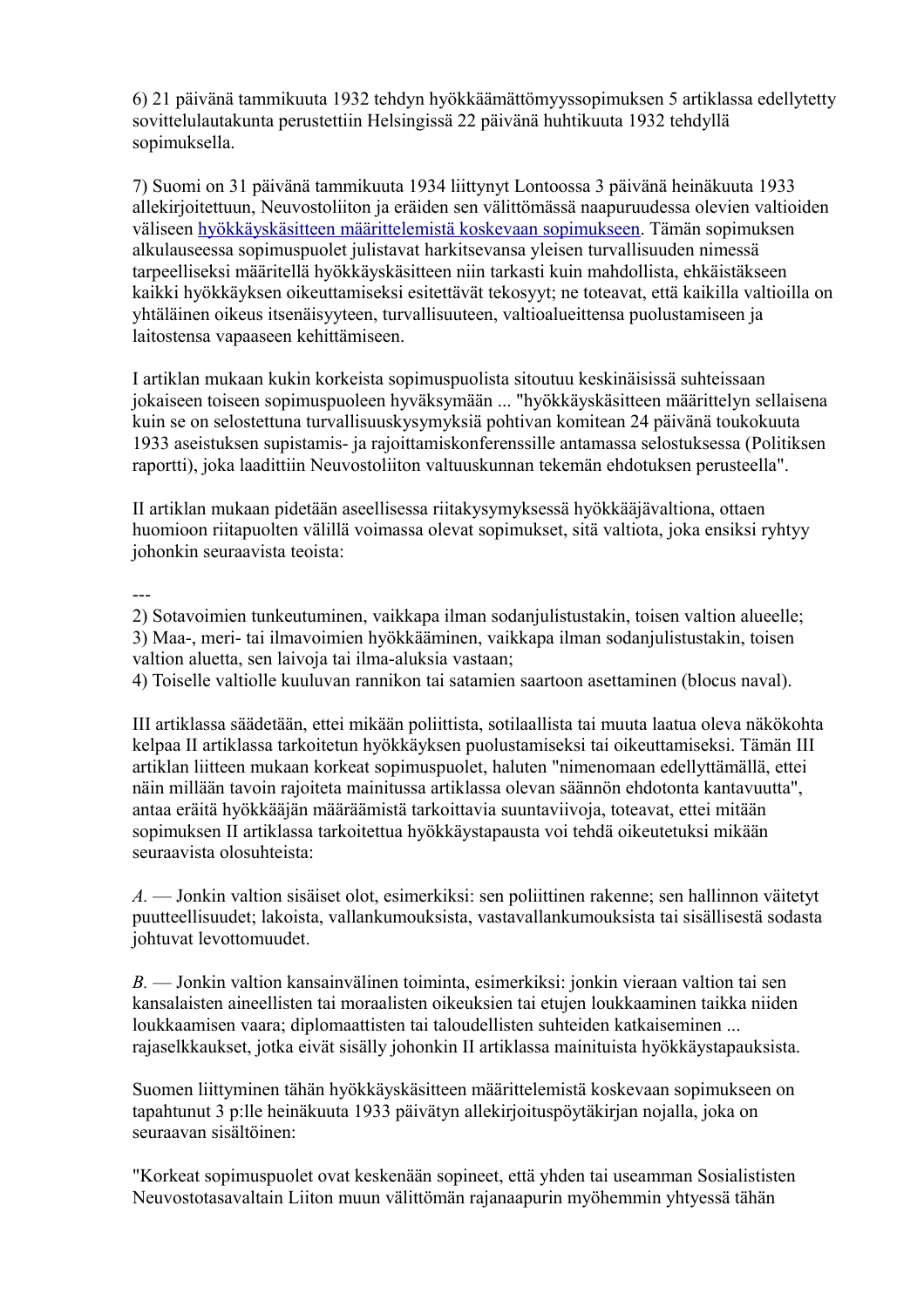6) 21 päivänä tammikuuta 1932 tehdyn hyökkäämättömyyssopimuksen 5 artiklassa edellytetty sovittelulautakunta perustettiin Helsingissä 22 päivänä huhtikuuta 1932 tehdyllä sopimuksella.

7) Suomi on 31 päivänä tammikuuta 1934 liittynyt Lontoossa 3 päivänä heinäkuuta 1933 allekirjoitettuun, Neuvostoliiton ja eräiden sen välittömässä naapuruudessa olevien valtioiden väliseen [hyökkäyskäsitteen määrittelemistä koskevaan sopimukseen.](http://www.finlex.fi/fi/sopimukset/sopsteksti/1934/19340004/19340004_2) Tämän sopimuksen alkulauseessa sopimuspuolet julistavat harkitsevansa yleisen turvallisuuden nimessä tarpeelliseksi määritellä hyökkäyskäsitteen niin tarkasti kuin mahdollista, ehkäistäkseen kaikki hyökkäyksen oikeuttamiseksi esitettävät tekosyyt; ne toteavat, että kaikilla valtioilla on yhtäläinen oikeus itsenäisyyteen, turvallisuuteen, valtioalueittensa puolustamiseen ja laitostensa vapaaseen kehittämiseen.

I artiklan mukaan kukin korkeista sopimuspuolista sitoutuu keskinäisissä suhteissaan jokaiseen toiseen sopimuspuoleen hyväksymään ... "hyökkäyskäsitteen määrittelyn sellaisena kuin se on selostettuna turvallisuuskysymyksiä pohtivan komitean 24 päivänä toukokuuta 1933 aseistuksen supistamis- ja rajoittamiskonferenssille antamassa selostuksessa (Politiksen raportti), joka laadittiin Neuvostoliiton valtuuskunnan tekemän ehdotuksen perusteella".

II artiklan mukaan pidetään aseellisessa riitakysymyksessä hyökkääjävaltiona, ottaen huomioon riitapuolten välillä voimassa olevat sopimukset, sitä valtiota, joka ensiksi ryhtyy johonkin seuraavista teoista:

---

2) Sotavoimien tunkeutuminen, vaikkapa ilman sodanjulistustakin, toisen valtion alueelle; 3) Maa-, meri- tai ilmavoimien hyökkääminen, vaikkapa ilman sodanjulistustakin, toisen valtion aluetta, sen laivoja tai ilma-aluksia vastaan;

4) Toiselle valtiolle kuuluvan rannikon tai satamien saartoon asettaminen (blocus naval).

III artiklassa säädetään, ettei mikään poliittista, sotilaallista tai muuta laatua oleva näkökohta kelpaa II artiklassa tarkoitetun hyökkäyksen puolustamiseksi tai oikeuttamiseksi. Tämän III artiklan liitteen mukaan korkeat sopimuspuolet, haluten "nimenomaan edellyttämällä, ettei näin millään tavoin rajoiteta mainitussa artiklassa olevan säännön ehdotonta kantavuutta", antaa eräitä hyökkääjän määräämistä tarkoittavia suuntaviivoja, toteavat, ettei mitään sopimuksen II artiklassa tarkoitettua hyökkäystapausta voi tehdä oikeutetuksi mikään seuraavista olosuhteista:

*A.* — Jonkin valtion sisäiset olot, esimerkiksi: sen poliittinen rakenne; sen hallinnon väitetyt puutteellisuudet; lakoista, vallankumouksista, vastavallankumouksista tai sisällisestä sodasta johtuvat levottomuudet.

*B.* — Jonkin valtion kansainvälinen toiminta, esimerkiksi: jonkin vieraan valtion tai sen kansalaisten aineellisten tai moraalisten oikeuksien tai etujen loukkaaminen taikka niiden loukkaamisen vaara; diplomaattisten tai taloudellisten suhteiden katkaiseminen ... rajaselkkaukset, jotka eivät sisälly johonkin II artiklassa mainituista hyökkäystapauksista.

Suomen liittyminen tähän hyökkäyskäsitteen määrittelemistä koskevaan sopimukseen on tapahtunut 3 p:lle heinäkuuta 1933 päivätyn allekirjoituspöytäkirjan nojalla, joka on seuraavan sisältöinen:

"Korkeat sopimuspuolet ovat keskenään sopineet, että yhden tai useamman Sosialististen Neuvostotasavaltain Liiton muun välittömän rajanaapurin myöhemmin yhtyessä tähän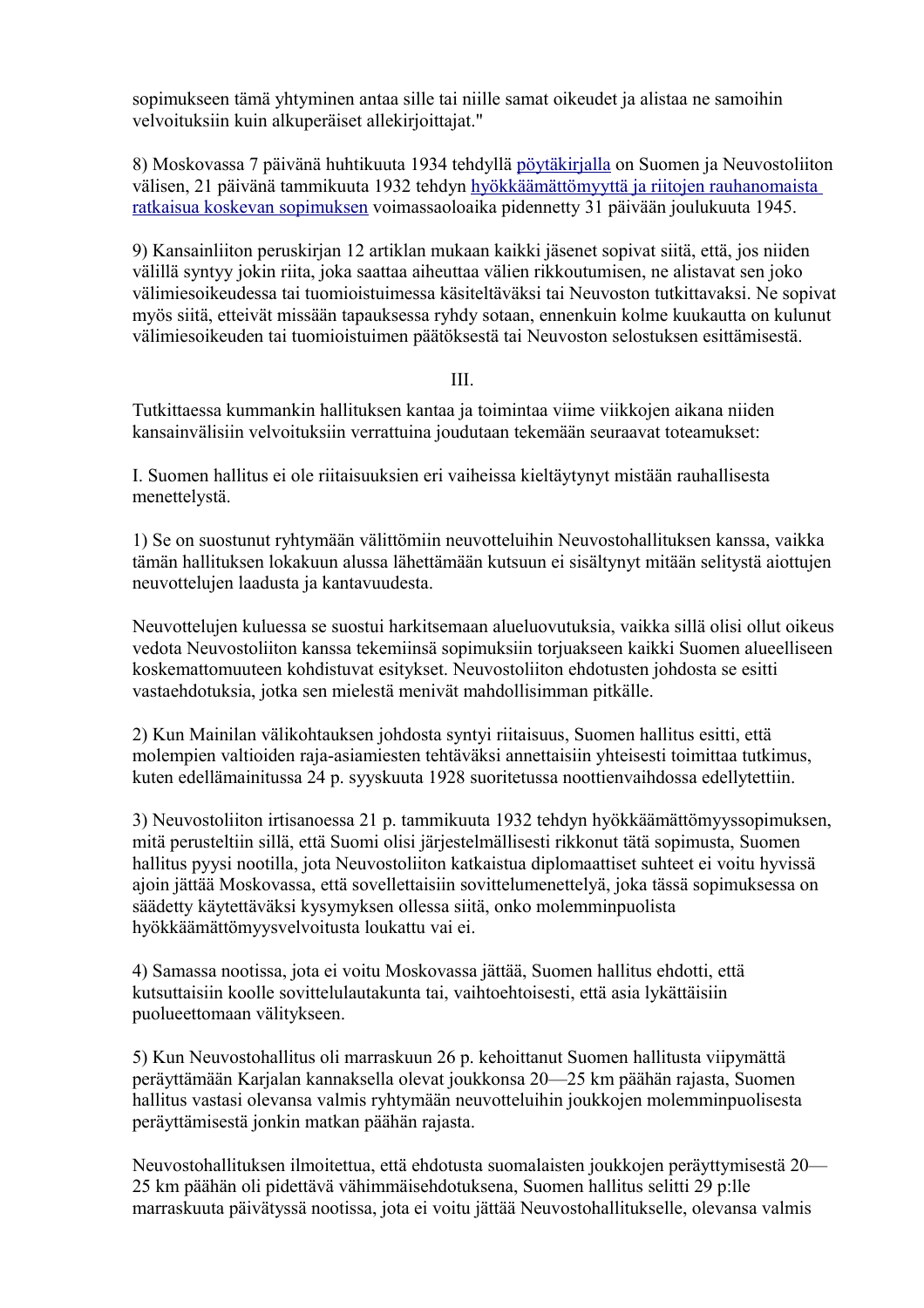sopimukseen tämä yhtyminen antaa sille tai niille samat oikeudet ja alistaa ne samoihin velvoituksiin kuin alkuperäiset allekirjoittajat."

8) Moskovassa 7 päivänä huhtikuuta 1934 tehdyllä [pöytäkirjalla](file:///Y:/Omia/Kotisivu%20current/historia/nonaggr2.html) on Suomen ja Neuvostoliiton välisen, 21 päivänä tammikuuta 1932 tehdyn [hyökkäämättömyyttä ja riitojen rauhanomaista](file:///Y:/Omia/Kotisivu%20current/historia/nonaggr.html)  [ratkaisua koskevan sopimuksen](file:///Y:/Omia/Kotisivu%20current/historia/nonaggr.html) voimassaoloaika pidennetty 31 päivään joulukuuta 1945.

9) Kansainliiton peruskirjan 12 artiklan mukaan kaikki jäsenet sopivat siitä, että, jos niiden välillä syntyy jokin riita, joka saattaa aiheuttaa välien rikkoutumisen, ne alistavat sen joko välimiesoikeudessa tai tuomioistuimessa käsiteltäväksi tai Neuvoston tutkittavaksi. Ne sopivat myös siitä, etteivät missään tapauksessa ryhdy sotaan, ennenkuin kolme kuukautta on kulunut välimiesoikeuden tai tuomioistuimen päätöksestä tai Neuvoston selostuksen esittämisestä.

#### III.

Tutkittaessa kummankin hallituksen kantaa ja toimintaa viime viikkojen aikana niiden kansainvälisiin velvoituksiin verrattuina joudutaan tekemään seuraavat toteamukset:

I. Suomen hallitus ei ole riitaisuuksien eri vaiheissa kieltäytynyt mistään rauhallisesta menettelystä.

1) Se on suostunut ryhtymään välittömiin neuvotteluihin Neuvostohallituksen kanssa, vaikka tämän hallituksen lokakuun alussa lähettämään kutsuun ei sisältynyt mitään selitystä aiottujen neuvottelujen laadusta ja kantavuudesta.

Neuvottelujen kuluessa se suostui harkitsemaan alueluovutuksia, vaikka sillä olisi ollut oikeus vedota Neuvostoliiton kanssa tekemiinsä sopimuksiin torjuakseen kaikki Suomen alueelliseen koskemattomuuteen kohdistuvat esitykset. Neuvostoliiton ehdotusten johdosta se esitti vastaehdotuksia, jotka sen mielestä menivät mahdollisimman pitkälle.

2) Kun Mainilan välikohtauksen johdosta syntyi riitaisuus, Suomen hallitus esitti, että molempien valtioiden raja-asiamiesten tehtäväksi annettaisiin yhteisesti toimittaa tutkimus, kuten edellämainitussa 24 p. syyskuuta 1928 suoritetussa noottienvaihdossa edellytettiin.

3) Neuvostoliiton irtisanoessa 21 p. tammikuuta 1932 tehdyn hyökkäämättömyyssopimuksen, mitä perusteltiin sillä, että Suomi olisi järjestelmällisesti rikkonut tätä sopimusta, Suomen hallitus pyysi nootilla, jota Neuvostoliiton katkaistua diplomaattiset suhteet ei voitu hyvissä ajoin jättää Moskovassa, että sovellettaisiin sovittelumenettelyä, joka tässä sopimuksessa on säädetty käytettäväksi kysymyksen ollessa siitä, onko molemminpuolista hyökkäämättömyysvelvoitusta loukattu vai ei.

4) Samassa nootissa, jota ei voitu Moskovassa jättää, Suomen hallitus ehdotti, että kutsuttaisiin koolle sovittelulautakunta tai, vaihtoehtoisesti, että asia lykättäisiin puolueettomaan välitykseen.

5) Kun Neuvostohallitus oli marraskuun 26 p. kehoittanut Suomen hallitusta viipymättä peräyttämään Karjalan kannaksella olevat joukkonsa 20—25 km päähän rajasta, Suomen hallitus vastasi olevansa valmis ryhtymään neuvotteluihin joukkojen molemminpuolisesta peräyttämisestä jonkin matkan päähän rajasta.

Neuvostohallituksen ilmoitettua, että ehdotusta suomalaisten joukkojen peräyttymisestä 20— 25 km päähän oli pidettävä vähimmäisehdotuksena, Suomen hallitus selitti 29 p:lle marraskuuta päivätyssä nootissa, jota ei voitu jättää Neuvostohallitukselle, olevansa valmis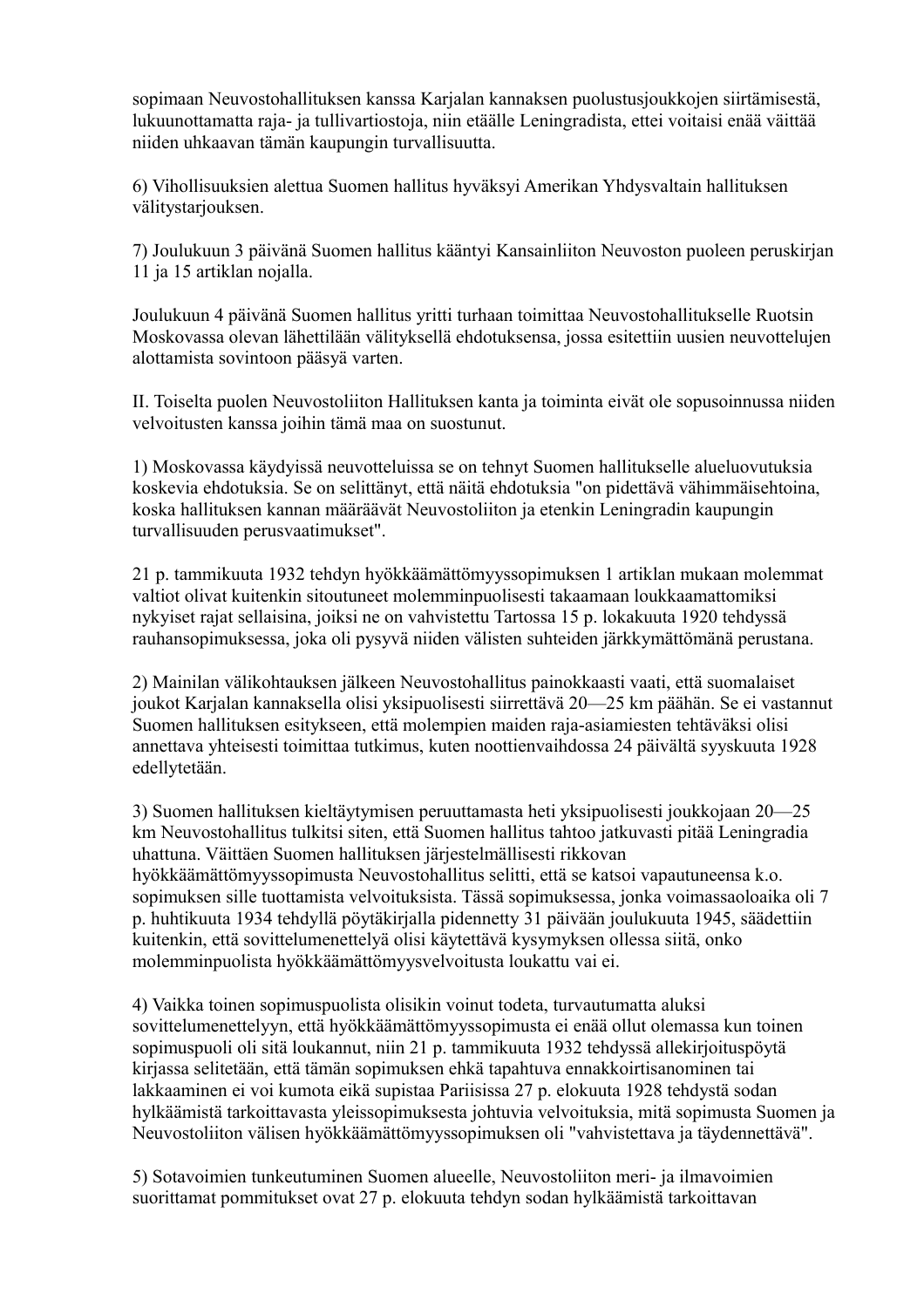sopimaan Neuvostohallituksen kanssa Karjalan kannaksen puolustusjoukkojen siirtämisestä, lukuunottamatta raja- ja tullivartiostoja, niin etäälle Leningradista, ettei voitaisi enää väittää niiden uhkaavan tämän kaupungin turvallisuutta.

6) Vihollisuuksien alettua Suomen hallitus hyväksyi Amerikan Yhdysvaltain hallituksen välitystarjouksen.

7) Joulukuun 3 päivänä Suomen hallitus kääntyi Kansainliiton Neuvoston puoleen peruskirjan 11 ja 15 artiklan nojalla.

Joulukuun 4 päivänä Suomen hallitus yritti turhaan toimittaa Neuvostohallitukselle Ruotsin Moskovassa olevan lähettilään välityksellä ehdotuksensa, jossa esitettiin uusien neuvottelujen alottamista sovintoon pääsyä varten.

II. Toiselta puolen Neuvostoliiton Hallituksen kanta ja toiminta eivät ole sopusoinnussa niiden velvoitusten kanssa joihin tämä maa on suostunut.

1) Moskovassa käydyissä neuvotteluissa se on tehnyt Suomen hallitukselle alueluovutuksia koskevia ehdotuksia. Se on selittänyt, että näitä ehdotuksia "on pidettävä vähimmäisehtoina, koska hallituksen kannan määräävät Neuvostoliiton ja etenkin Leningradin kaupungin turvallisuuden perusvaatimukset".

21 p. tammikuuta 1932 tehdyn hyökkäämättömyyssopimuksen 1 artiklan mukaan molemmat valtiot olivat kuitenkin sitoutuneet molemminpuolisesti takaamaan loukkaamattomiksi nykyiset rajat sellaisina, joiksi ne on vahvistettu Tartossa 15 p. lokakuuta 1920 tehdyssä rauhansopimuksessa, joka oli pysyvä niiden välisten suhteiden järkkymättömänä perustana.

2) Mainilan välikohtauksen jälkeen Neuvostohallitus painokkaasti vaati, että suomalaiset joukot Karjalan kannaksella olisi yksipuolisesti siirrettävä 20—25 km päähän. Se ei vastannut Suomen hallituksen esitykseen, että molempien maiden raja-asiamiesten tehtäväksi olisi annettava yhteisesti toimittaa tutkimus, kuten noottienvaihdossa 24 päivältä syyskuuta 1928 edellytetään.

3) Suomen hallituksen kieltäytymisen peruuttamasta heti yksipuolisesti joukkojaan 20—25 km Neuvostohallitus tulkitsi siten, että Suomen hallitus tahtoo jatkuvasti pitää Leningradia uhattuna. Väittäen Suomen hallituksen järjestelmällisesti rikkovan hyökkäämättömyyssopimusta Neuvostohallitus selitti, että se katsoi vapautuneensa k.o. sopimuksen sille tuottamista velvoituksista. Tässä sopimuksessa, jonka voimassaoloaika oli 7 p. huhtikuuta 1934 tehdyllä pöytäkirjalla pidennetty 31 päivään joulukuuta 1945, säädettiin kuitenkin, että sovittelumenettelyä olisi käytettävä kysymyksen ollessa siitä, onko molemminpuolista hyökkäämättömyysvelvoitusta loukattu vai ei.

4) Vaikka toinen sopimuspuolista olisikin voinut todeta, turvautumatta aluksi sovittelumenettelyyn, että hyökkäämättömyyssopimusta ei enää ollut olemassa kun toinen sopimuspuoli oli sitä loukannut, niin 21 p. tammikuuta 1932 tehdyssä allekirjoituspöytä kirjassa selitetään, että tämän sopimuksen ehkä tapahtuva ennakkoirtisanominen tai lakkaaminen ei voi kumota eikä supistaa Pariisissa 27 p. elokuuta 1928 tehdystä sodan hylkäämistä tarkoittavasta yleissopimuksesta johtuvia velvoituksia, mitä sopimusta Suomen ja Neuvostoliiton välisen hyökkäämättömyyssopimuksen oli "vahvistettava ja täydennettävä".

5) Sotavoimien tunkeutuminen Suomen alueelle, Neuvostoliiton meri- ja ilmavoimien suorittamat pommitukset ovat 27 p. elokuuta tehdyn sodan hylkäämistä tarkoittavan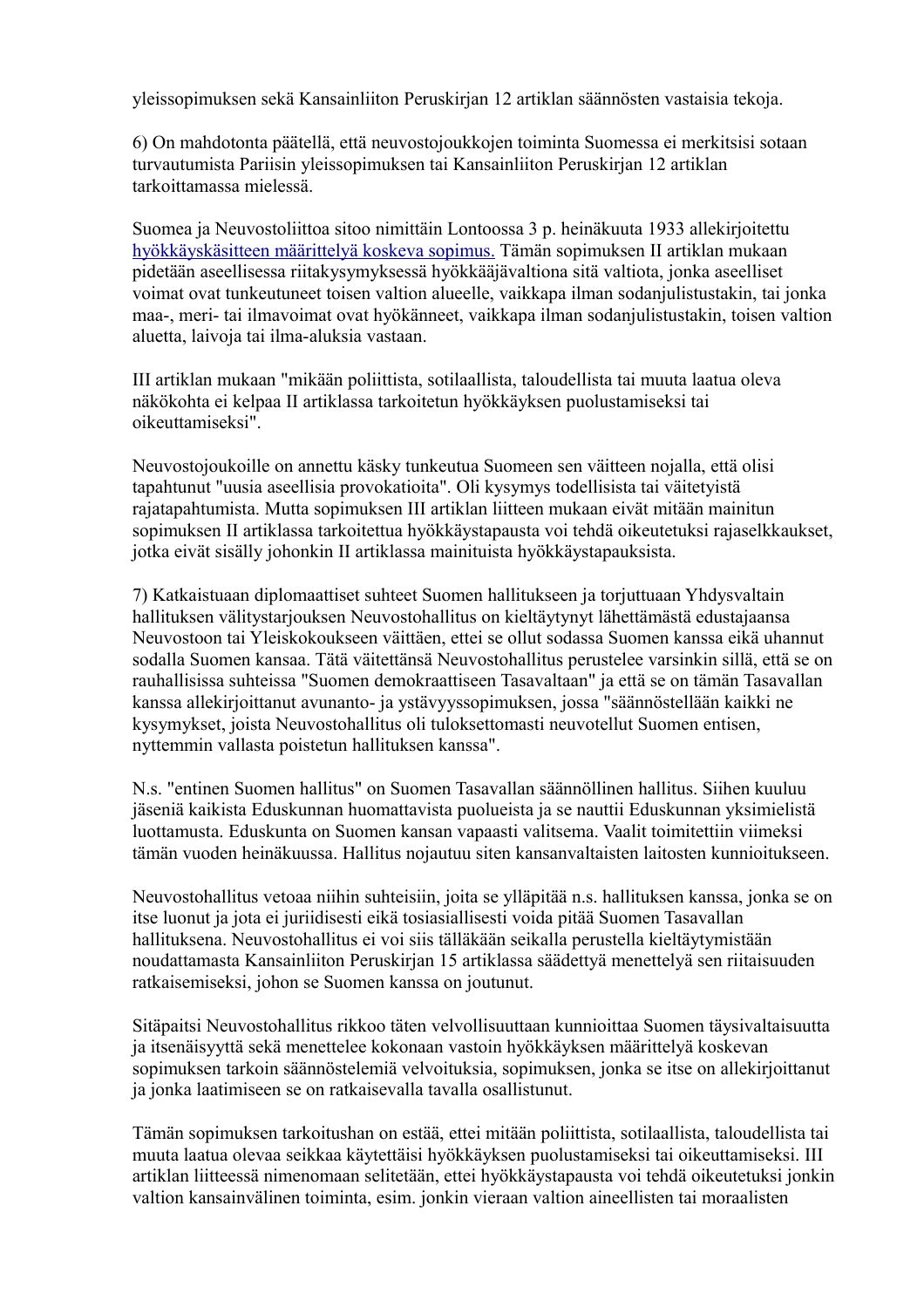yleissopimuksen sekä Kansainliiton Peruskirjan 12 artiklan säännösten vastaisia tekoja.

6) On mahdotonta päätellä, että neuvostojoukkojen toiminta Suomessa ei merkitsisi sotaan turvautumista Pariisin yleissopimuksen tai Kansainliiton Peruskirjan 12 artiklan tarkoittamassa mielessä.

Suomea ja Neuvostoliittoa sitoo nimittäin Lontoossa 3 p. heinäkuuta 1933 allekirjoitettu [hyökkäyskäsitteen määrittelyä koskeva sopimus.](http://www.finlex.fi/fi/sopimukset/sopsteksti/1934/19340004/19340004_2) Tämän sopimuksen II artiklan mukaan pidetään aseellisessa riitakysymyksessä hyökkääjävaltiona sitä valtiota, jonka aseelliset voimat ovat tunkeutuneet toisen valtion alueelle, vaikkapa ilman sodanjulistustakin, tai jonka maa-, meri- tai ilmavoimat ovat hyökänneet, vaikkapa ilman sodanjulistustakin, toisen valtion aluetta, laivoja tai ilma-aluksia vastaan.

III artiklan mukaan "mikään poliittista, sotilaallista, taloudellista tai muuta laatua oleva näkökohta ei kelpaa II artiklassa tarkoitetun hyökkäyksen puolustamiseksi tai oikeuttamiseksi".

Neuvostojoukoille on annettu käsky tunkeutua Suomeen sen väitteen nojalla, että olisi tapahtunut "uusia aseellisia provokatioita". Oli kysymys todellisista tai väitetyistä rajatapahtumista. Mutta sopimuksen III artiklan liitteen mukaan eivät mitään mainitun sopimuksen II artiklassa tarkoitettua hyökkäystapausta voi tehdä oikeutetuksi rajaselkkaukset, jotka eivät sisälly johonkin II artiklassa mainituista hyökkäystapauksista.

7) Katkaistuaan diplomaattiset suhteet Suomen hallitukseen ja torjuttuaan Yhdysvaltain hallituksen välitystarjouksen Neuvostohallitus on kieltäytynyt lähettämästä edustajaansa Neuvostoon tai Yleiskokoukseen väittäen, ettei se ollut sodassa Suomen kanssa eikä uhannut sodalla Suomen kansaa. Tätä väitettänsä Neuvostohallitus perustelee varsinkin sillä, että se on rauhallisissa suhteissa "Suomen demokraattiseen Tasavaltaan" ja että se on tämän Tasavallan kanssa allekirjoittanut avunanto- ja ystävyyssopimuksen, jossa "säännöstellään kaikki ne kysymykset, joista Neuvostohallitus oli tuloksettomasti neuvotellut Suomen entisen, nyttemmin vallasta poistetun hallituksen kanssa".

N.s. "entinen Suomen hallitus" on Suomen Tasavallan säännöllinen hallitus. Siihen kuuluu jäseniä kaikista Eduskunnan huomattavista puolueista ja se nauttii Eduskunnan yksimielistä luottamusta. Eduskunta on Suomen kansan vapaasti valitsema. Vaalit toimitettiin viimeksi tämän vuoden heinäkuussa. Hallitus nojautuu siten kansanvaltaisten laitosten kunnioitukseen.

Neuvostohallitus vetoaa niihin suhteisiin, joita se ylläpitää n.s. hallituksen kanssa, jonka se on itse luonut ja jota ei juriidisesti eikä tosiasiallisesti voida pitää Suomen Tasavallan hallituksena. Neuvostohallitus ei voi siis tälläkään seikalla perustella kieltäytymistään noudattamasta Kansainliiton Peruskirjan 15 artiklassa säädettyä menettelyä sen riitaisuuden ratkaisemiseksi, johon se Suomen kanssa on joutunut.

Sitäpaitsi Neuvostohallitus rikkoo täten velvollisuuttaan kunnioittaa Suomen täysivaltaisuutta ja itsenäisyyttä sekä menettelee kokonaan vastoin hyökkäyksen määrittelyä koskevan sopimuksen tarkoin säännöstelemiä velvoituksia, sopimuksen, jonka se itse on allekirjoittanut ja jonka laatimiseen se on ratkaisevalla tavalla osallistunut.

Tämän sopimuksen tarkoitushan on estää, ettei mitään poliittista, sotilaallista, taloudellista tai muuta laatua olevaa seikkaa käytettäisi hyökkäyksen puolustamiseksi tai oikeuttamiseksi. III artiklan liitteessä nimenomaan selitetään, ettei hyökkäystapausta voi tehdä oikeutetuksi jonkin valtion kansainvälinen toiminta, esim. jonkin vieraan valtion aineellisten tai moraalisten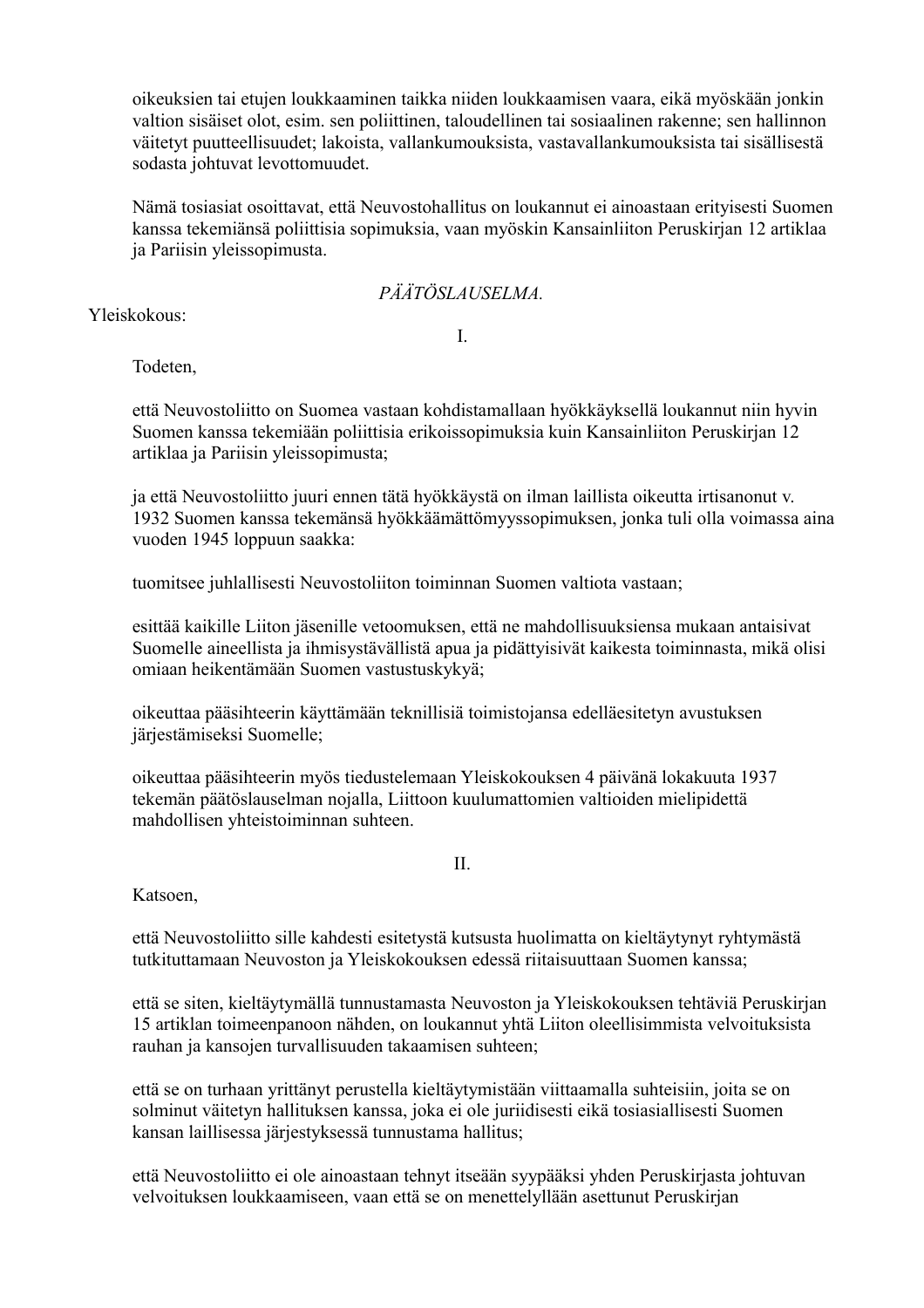oikeuksien tai etujen loukkaaminen taikka niiden loukkaamisen vaara, eikä myöskään jonkin valtion sisäiset olot, esim. sen poliittinen, taloudellinen tai sosiaalinen rakenne; sen hallinnon väitetyt puutteellisuudet; lakoista, vallankumouksista, vastavallankumouksista tai sisällisestä sodasta johtuvat levottomuudet.

Nämä tosiasiat osoittavat, että Neuvostohallitus on loukannut ei ainoastaan erityisesti Suomen kanssa tekemiänsä poliittisia sopimuksia, vaan myöskin Kansainliiton Peruskirjan 12 artiklaa ja Pariisin yleissopimusta.

#### *PÄÄTÖSLAUSELMA.*

Yleiskokous:

I.

Todeten,

että Neuvostoliitto on Suomea vastaan kohdistamallaan hyökkäyksellä loukannut niin hyvin Suomen kanssa tekemiään poliittisia erikoissopimuksia kuin Kansainliiton Peruskirjan 12 artiklaa ja Pariisin yleissopimusta;

ja että Neuvostoliitto juuri ennen tätä hyökkäystä on ilman laillista oikeutta irtisanonut v. 1932 Suomen kanssa tekemänsä hyökkäämättömyyssopimuksen, jonka tuli olla voimassa aina vuoden 1945 loppuun saakka:

tuomitsee juhlallisesti Neuvostoliiton toiminnan Suomen valtiota vastaan;

esittää kaikille Liiton jäsenille vetoomuksen, että ne mahdollisuuksiensa mukaan antaisivat Suomelle aineellista ja ihmisystävällistä apua ja pidättyisivät kaikesta toiminnasta, mikä olisi omiaan heikentämään Suomen vastustuskykyä;

oikeuttaa pääsihteerin käyttämään teknillisiä toimistojansa edelläesitetyn avustuksen järjestämiseksi Suomelle;

oikeuttaa pääsihteerin myös tiedustelemaan Yleiskokouksen 4 päivänä lokakuuta 1937 tekemän päätöslauselman nojalla, Liittoon kuulumattomien valtioiden mielipidettä mahdollisen yhteistoiminnan suhteen.

II.

Katsoen,

että Neuvostoliitto sille kahdesti esitetystä kutsusta huolimatta on kieltäytynyt ryhtymästä tutkituttamaan Neuvoston ja Yleiskokouksen edessä riitaisuuttaan Suomen kanssa;

että se siten, kieltäytymällä tunnustamasta Neuvoston ja Yleiskokouksen tehtäviä Peruskirjan 15 artiklan toimeenpanoon nähden, on loukannut yhtä Liiton oleellisimmista velvoituksista rauhan ja kansojen turvallisuuden takaamisen suhteen;

että se on turhaan yrittänyt perustella kieltäytymistään viittaamalla suhteisiin, joita se on solminut väitetyn hallituksen kanssa, joka ei ole juriidisesti eikä tosiasiallisesti Suomen kansan laillisessa järjestyksessä tunnustama hallitus;

että Neuvostoliitto ei ole ainoastaan tehnyt itseään syypääksi yhden Peruskirjasta johtuvan velvoituksen loukkaamiseen, vaan että se on menettelyllään asettunut Peruskirjan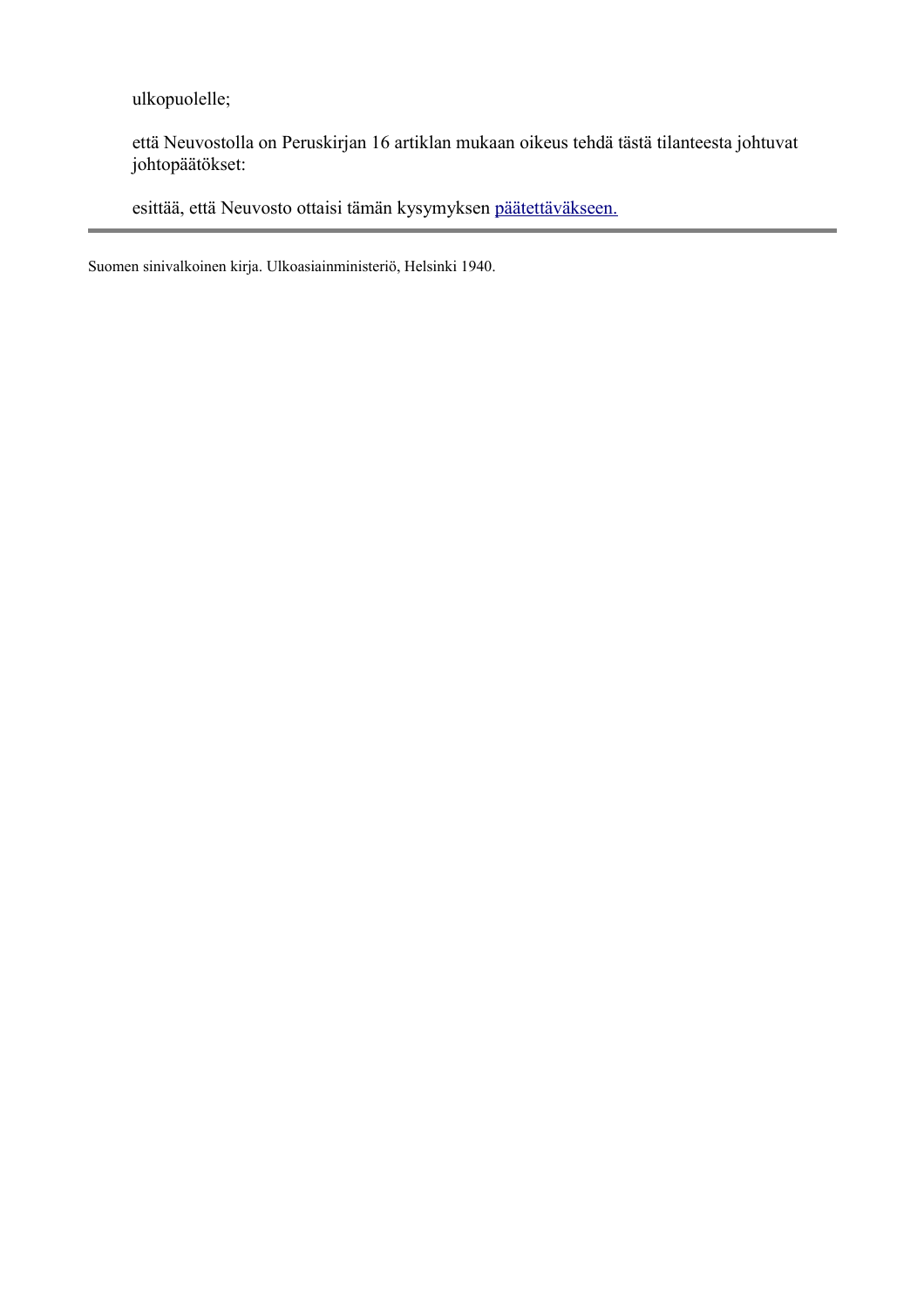ulkopuolelle;

että Neuvostolla on Peruskirjan 16 artiklan mukaan oikeus tehdä tästä tilanteesta johtuvat johtopäätökset:

esittää, että Neuvosto ottaisi tämän kysymyksen [päätettäväkseen.](file:///Y:/Omia/Kotisivu%20current/historia/league2.html)

Suomen sinivalkoinen kirja. Ulkoasiainministeriö, Helsinki 1940.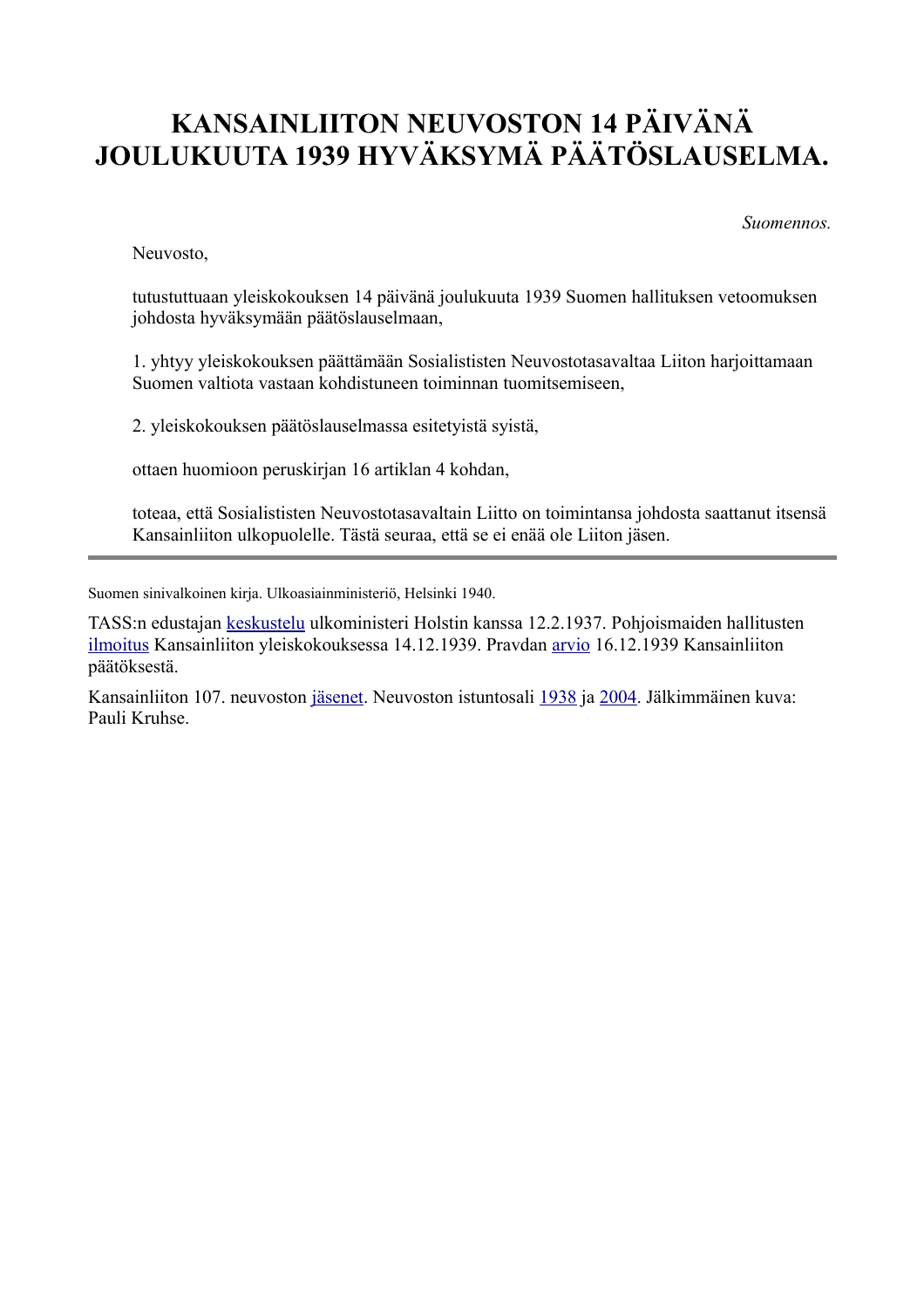# **KANSAINLIITON NEUVOSTON 14 PÄIVÄNÄ JOULUKUUTA 1939 HYVÄKSYMÄ PÄÄTÖSLAUSELMA.**

*Suomennos.*

Neuvosto,

tutustuttuaan yleiskokouksen 14 päivänä joulukuuta 1939 Suomen hallituksen vetoomuksen johdosta hyväksymään päätöslauselmaan,

1. yhtyy yleiskokouksen päättämään Sosialististen Neuvostotasavaltaa Liiton harjoittamaan Suomen valtiota vastaan kohdistuneen toiminnan tuomitsemiseen,

2. yleiskokouksen päätöslauselmassa esitetyistä syistä,

ottaen huomioon peruskirjan 16 artiklan 4 kohdan,

toteaa, että Sosialististen Neuvostotasavaltain Liitto on toimintansa johdosta saattanut itsensä Kansainliiton ulkopuolelle. Tästä seuraa, että se ei enää ole Liiton jäsen.

Suomen sinivalkoinen kirja. Ulkoasiainministeriö, Helsinki 1940.

TASS:n edustajan [keskustelu](file:///Y:/Omia/Kotisivu%20current/historia/vapaus1937-02-12.html) ulkoministeri Holstin kanssa 12.2.1937. Pohjoismaiden hallitusten [ilmoitus](file:///Y:/Omia/Kotisivu%20current/historia/1939-12-14.html) Kansainliiton yleiskokouksessa 14.12.1939. Pravdan [arvio](file:///Y:/Omia/Kotisivu%20current/historia/tass.html) 16.12.1939 Kansainliiton päätöksestä.

Kansainliiton 107. neuvoston [jäsenet.](http://www.indiana.edu/~league/councilsess107.htm) Neuvoston istuntosali [1938](http://www.indiana.edu/~librcsd/nt/db.cgi?db=ig&do=search_results&details=2&ID=603&ID-opt==) ja [2004.](file:///Y:/Omia/Kotisivu%20current/historia/pic/league.jpg) Jälkimmäinen kuva: Pauli Kruhse.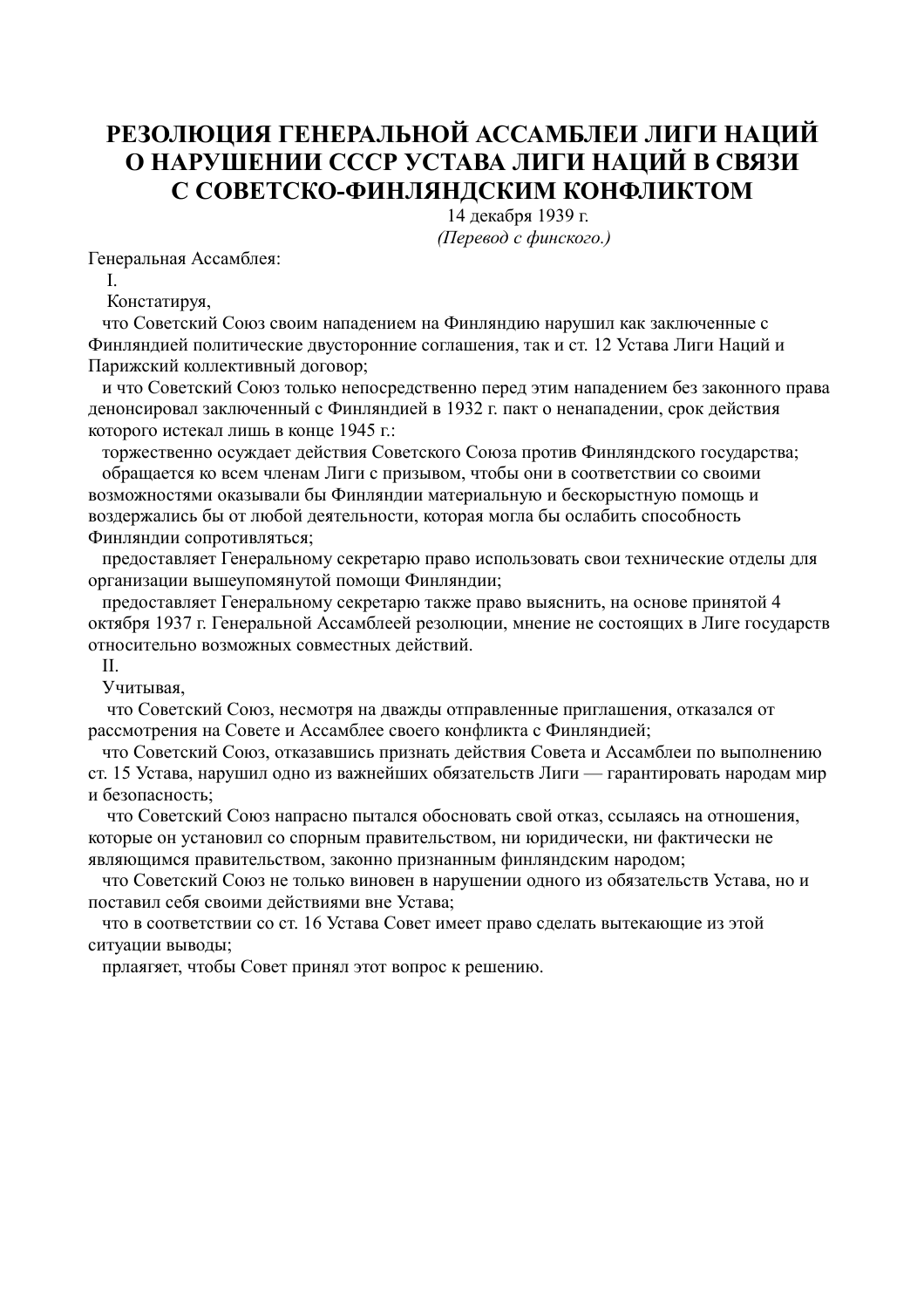### **РЕЗОЛЮЦИЯ ГЕНЕРАЛЬНОЙ АССАМБЛЕИ ЛИГИ НАЦИЙ О НАРУШЕНИИ СССР УСТАВА ЛИГИ НАЦИЙ В СВЯЗИ С СОВЕТСКО-ФИНЛЯНДСКИМ КОНФЛИКТОМ**

 14 декабря 1939 г.  *(Перевод с финского.)*

Генеральная Ассамблея:

I.

Констатируя,

 что Советский Союз своим нападением на Финляндию нарушил как заключенные с Финляндией политические двусторонние соглашения, так и ст. 12 Устава Лиги Наций и Парижский коллективный договор;

 и что Советский Союз только непосредственно перед этим нападением без законного права денонсировал заключенный с Финляндией в 1932 г. пакт о ненападении, срок действия которого истекал лишь в конце 1945 г.:

 торжественно осуждает действия Советского Союза против Финляндского государства; обращается ко всем членам Лиги с призывом, чтобы они в соответствии со своими возможностями оказывали бы Финляндии материальную и бескорыстную помощь и воздержались бы от любой деятельности, которая могла бы ослабить способность Финляндии сопротивляться;

 предоставляет Генеральному секретарю право использовать свои технические отделы для организации вышеупомянутой помощи Финляндии;

 предоставляет Генеральному секретарю также право выяснить, на основе принятой 4 октября 1937 г. Генеральной Ассамблеей резолюции, мнение не состоящих в Лиге государств относительно возможных совместных действий.

II.

Учитывая,

 что Советский Союз, несмотря на дважды отправленные приглашения, отказался от рассмотрения на Совете и Ассамблее своего конфликта с Финляндией;

 что Советский Союз, отказавшись признать действия Совета и Ассамблеи по выполнению ст. 15 Устава, нарушил одно из важнейших обязательств Лиги — гарантировать народам мир и безопасность;

 что Советский Союз напрасно пытался обосновать свой отказ, ссылаясь на отношения, которые он установил со спорным правительством, ни юридически, ни фактически не являющимся правительством, законно признанным финляндским народом;

 что Советский Союз не только виновен в нарушении одного из обязательств Устава, но и поставил себя своими действиями вне Устава;

 что в соответствии со ст. 16 Устава Совет имеет право сделать вытекающие из этой ситуации выводы;

прлаягяет, чтобы Совет принял этот вопрос к решению.